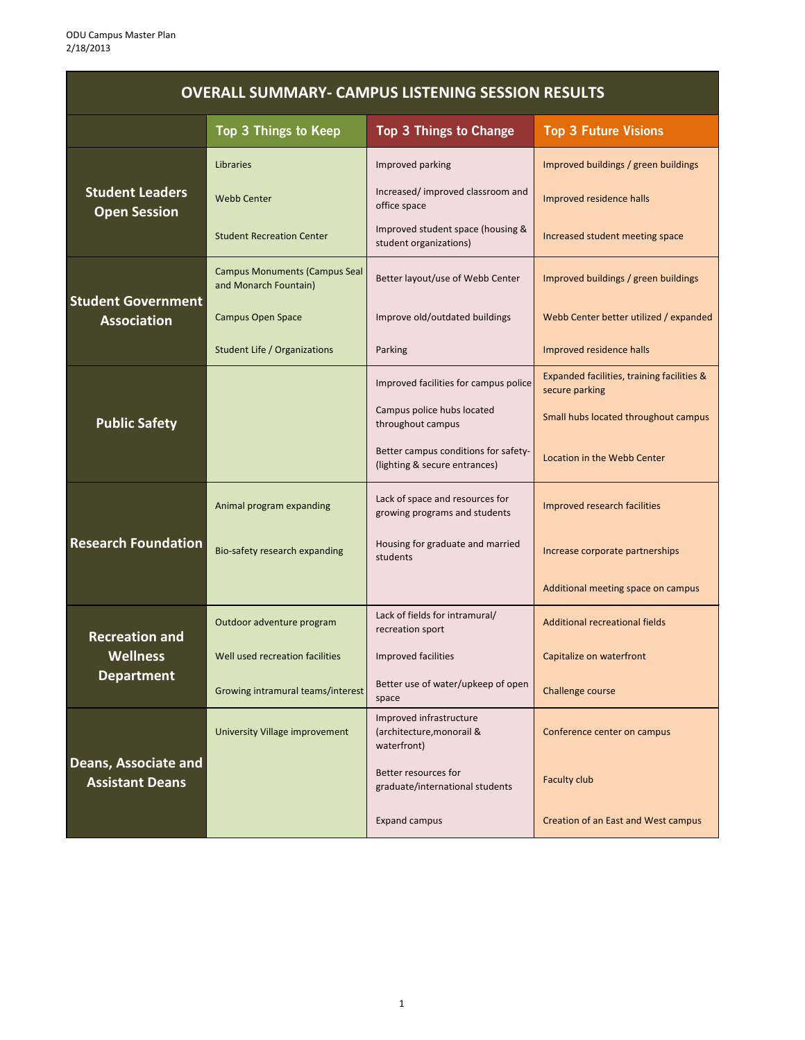.

| <b>OVERALL SUMMARY- CAMPUS LISTENING SESSION RESULTS</b>      |                                                                                                                                  |                                                                                                                                                                   |                                                                                                                                     |  |  |
|---------------------------------------------------------------|----------------------------------------------------------------------------------------------------------------------------------|-------------------------------------------------------------------------------------------------------------------------------------------------------------------|-------------------------------------------------------------------------------------------------------------------------------------|--|--|
|                                                               | <b>Top 3 Things to Keep</b>                                                                                                      | <b>Top 3 Things to Change</b>                                                                                                                                     | <b>Top 3 Future Visions</b>                                                                                                         |  |  |
| <b>Student Leaders</b><br><b>Open Session</b>                 | Libraries<br><b>Webb Center</b><br><b>Student Recreation Center</b>                                                              | Improved parking<br>Increased/improved classroom and<br>office space<br>Improved student space (housing &                                                         | Improved buildings / green buildings<br>Improved residence halls<br>Increased student meeting space                                 |  |  |
| <b>Student Government</b><br><b>Association</b>               | <b>Campus Monuments (Campus Seal</b><br>and Monarch Fountain)<br><b>Campus Open Space</b><br><b>Student Life / Organizations</b> | student organizations)<br>Better layout/use of Webb Center<br>Improve old/outdated buildings<br>Parking                                                           | Improved buildings / green buildings<br>Webb Center better utilized / expanded<br>Improved residence halls                          |  |  |
| <b>Public Safety</b>                                          |                                                                                                                                  | Improved facilities for campus police<br>Campus police hubs located<br>throughout campus<br>Better campus conditions for safety-<br>(lighting & secure entrances) | Expanded facilities, training facilities &<br>secure parking<br>Small hubs located throughout campus<br>Location in the Webb Center |  |  |
| <b>Research Foundation</b>                                    | Animal program expanding<br>Bio-safety research expanding                                                                        | Lack of space and resources for<br>growing programs and students<br>Housing for graduate and married<br>students                                                  | Improved research facilities<br>Increase corporate partnerships<br>Additional meeting space on campus                               |  |  |
| <b>Recreation and</b><br><b>Wellness</b><br><b>Department</b> | Outdoor adventure program<br>Well used recreation facilities<br>Growing intramural teams/interest                                | Lack of fields for intramural/<br>recreation sport<br>Improved facilities<br>Better use of water/upkeep of open<br>space                                          | <b>Additional recreational fields</b><br>Capitalize on waterfront<br>Challenge course                                               |  |  |
| Deans, Associate and<br><b>Assistant Deans</b>                | University Village improvement                                                                                                   | Improved infrastructure<br>(architecture, monorail &<br>waterfront)<br>Better resources for<br>graduate/international students<br><b>Expand campus</b>            | Conference center on campus<br><b>Faculty club</b><br>Creation of an East and West campus                                           |  |  |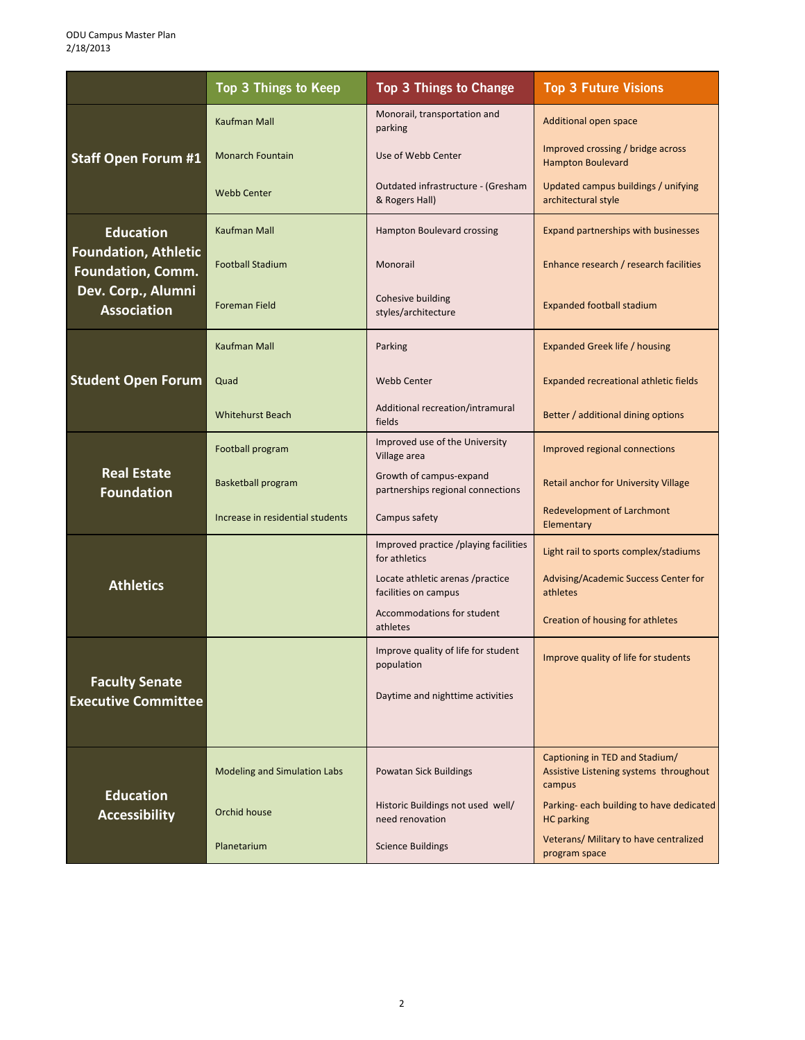ODU Campus Master Plan 2/18/2013

|                                                         | <b>Top 3 Things to Keep</b>         | <b>Top 3 Things to Change</b>                                | <b>Top 3 Future Visions</b>                                                        |
|---------------------------------------------------------|-------------------------------------|--------------------------------------------------------------|------------------------------------------------------------------------------------|
|                                                         | <b>Kaufman Mall</b>                 | Monorail, transportation and<br>parking                      | <b>Additional open space</b>                                                       |
| <b>Staff Open Forum #1</b>                              | <b>Monarch Fountain</b>             | Use of Webb Center                                           | Improved crossing / bridge across<br><b>Hampton Boulevard</b>                      |
|                                                         | <b>Webb Center</b>                  | Outdated infrastructure - (Gresham<br>& Rogers Hall)         | Updated campus buildings / unifying<br>architectural style                         |
| <b>Education</b>                                        | <b>Kaufman Mall</b>                 | Hampton Boulevard crossing                                   | Expand partnerships with businesses                                                |
| <b>Foundation, Athletic</b><br><b>Foundation, Comm.</b> | <b>Football Stadium</b>             | Monorail                                                     | Enhance research / research facilities                                             |
| Dev. Corp., Alumni<br><b>Association</b>                | <b>Foreman Field</b>                | Cohesive building<br>styles/architecture                     | <b>Expanded football stadium</b>                                                   |
|                                                         | <b>Kaufman Mall</b>                 | Parking                                                      | <b>Expanded Greek life / housing</b>                                               |
| <b>Student Open Forum</b>                               | Quad                                | <b>Webb Center</b>                                           | Expanded recreational athletic fields                                              |
|                                                         | <b>Whitehurst Beach</b>             | Additional recreation/intramural<br>fields                   | Better / additional dining options                                                 |
|                                                         | Football program                    | Improved use of the University<br>Village area               | Improved regional connections                                                      |
| <b>Real Estate</b><br><b>Foundation</b>                 | <b>Basketball program</b>           | Growth of campus-expand<br>partnerships regional connections | <b>Retail anchor for University Village</b>                                        |
|                                                         | Increase in residential students    | Campus safety                                                | <b>Redevelopment of Larchmont</b><br>Elementary                                    |
|                                                         |                                     | Improved practice /playing facilities<br>for athletics       | Light rail to sports complex/stadiums                                              |
| <b>Athletics</b>                                        |                                     | Locate athletic arenas /practice<br>facilities on campus     | Advising/Academic Success Center for<br>athletes                                   |
|                                                         |                                     | Accommodations for student<br>athletes                       | Creation of housing for athletes                                                   |
|                                                         |                                     | Improve quality of life for student<br>population            | Improve quality of life for students                                               |
| <b>Faculty Senate</b><br><b>Executive Committee</b>     |                                     | Daytime and nighttime activities                             |                                                                                    |
|                                                         |                                     |                                                              |                                                                                    |
|                                                         | <b>Modeling and Simulation Labs</b> | <b>Powatan Sick Buildings</b>                                | Captioning in TED and Stadium/<br>Assistive Listening systems throughout<br>campus |
| <b>Education</b><br><b>Accessibility</b>                | Orchid house                        | Historic Buildings not used well/<br>need renovation         | Parking-each building to have dedicated<br><b>HC</b> parking                       |
|                                                         | Planetarium                         | <b>Science Buildings</b>                                     | Veterans/ Military to have centralized<br>program space                            |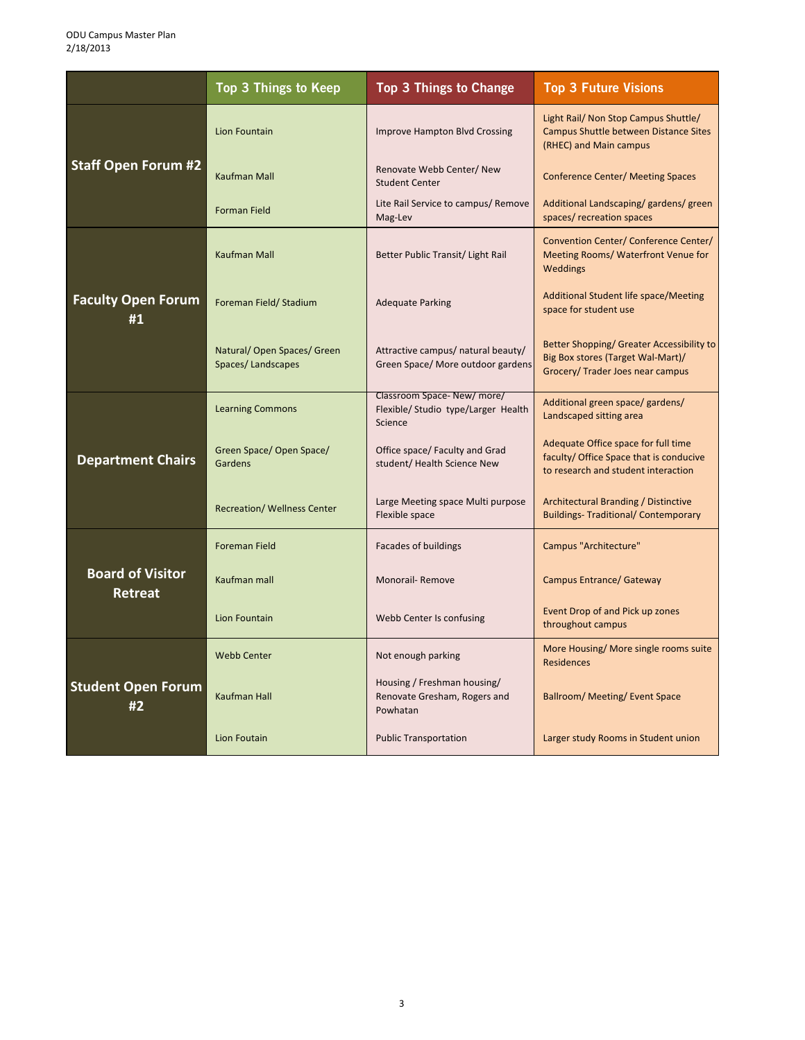|                                           | Top 3 Things to Keep                           | <b>Top 3 Things to Change</b>                                               | <b>Top 3 Future Visions</b>                                                                                               |
|-------------------------------------------|------------------------------------------------|-----------------------------------------------------------------------------|---------------------------------------------------------------------------------------------------------------------------|
|                                           | Lion Fountain                                  | <b>Improve Hampton Blvd Crossing</b>                                        | Light Rail/ Non Stop Campus Shuttle/<br><b>Campus Shuttle between Distance Sites</b><br>(RHEC) and Main campus            |
| <b>Staff Open Forum #2</b>                | <b>Kaufman Mall</b>                            | Renovate Webb Center/ New<br><b>Student Center</b>                          | <b>Conference Center/ Meeting Spaces</b>                                                                                  |
|                                           | <b>Forman Field</b>                            | Lite Rail Service to campus/ Remove<br>Mag-Lev                              | Additional Landscaping/gardens/green<br>spaces/ recreation spaces                                                         |
|                                           | <b>Kaufman Mall</b>                            | Better Public Transit/ Light Rail                                           | Convention Center/ Conference Center/<br>Meeting Rooms/ Waterfront Venue for<br><b>Weddings</b>                           |
| <b>Faculty Open Forum</b><br>#1           | Foreman Field/Stadium                          | <b>Adequate Parking</b>                                                     | Additional Student life space/Meeting<br>space for student use                                                            |
|                                           | Natural/Open Spaces/Green<br>Spaces/Landscapes | Attractive campus/ natural beauty/<br>Green Space/ More outdoor gardens     | <b>Better Shopping/ Greater Accessibility to</b><br>Big Box stores (Target Wal-Mart)/<br>Grocery/ Trader Joes near campus |
|                                           | <b>Learning Commons</b>                        | Classroom Space-New/more/<br>Flexible/ Studio type/Larger Health<br>Science | Additional green space/ gardens/<br>Landscaped sitting area                                                               |
| <b>Department Chairs</b>                  | Green Space/ Open Space/<br>Gardens            | Office space/ Faculty and Grad<br>student/ Health Science New               | Adequate Office space for full time<br>faculty/ Office Space that is conducive<br>to research and student interaction     |
|                                           | <b>Recreation/ Wellness Center</b>             | Large Meeting space Multi purpose<br>Flexible space                         | Architectural Branding / Distinctive<br><b>Buildings- Traditional/ Contemporary</b>                                       |
|                                           | <b>Foreman Field</b>                           | <b>Facades of buildings</b>                                                 | Campus "Architecture"                                                                                                     |
| <b>Board of Visitor</b><br><b>Retreat</b> | Kaufman mall                                   | <b>Monorail-Remove</b>                                                      | <b>Campus Entrance/ Gateway</b>                                                                                           |
|                                           | Lion Fountain                                  | Webb Center Is confusing                                                    | Event Drop of and Pick up zones<br>throughout campus                                                                      |
|                                           | <b>Webb Center</b>                             | Not enough parking                                                          | More Housing/ More single rooms suite<br><b>Residences</b>                                                                |
| <b>Student Open Forum</b><br>#2           | <b>Kaufman Hall</b>                            | Housing / Freshman housing/<br>Renovate Gresham, Rogers and<br>Powhatan     | <b>Ballroom/ Meeting/ Event Space</b>                                                                                     |
|                                           | Lion Foutain                                   | <b>Public Transportation</b>                                                | Larger study Rooms in Student union                                                                                       |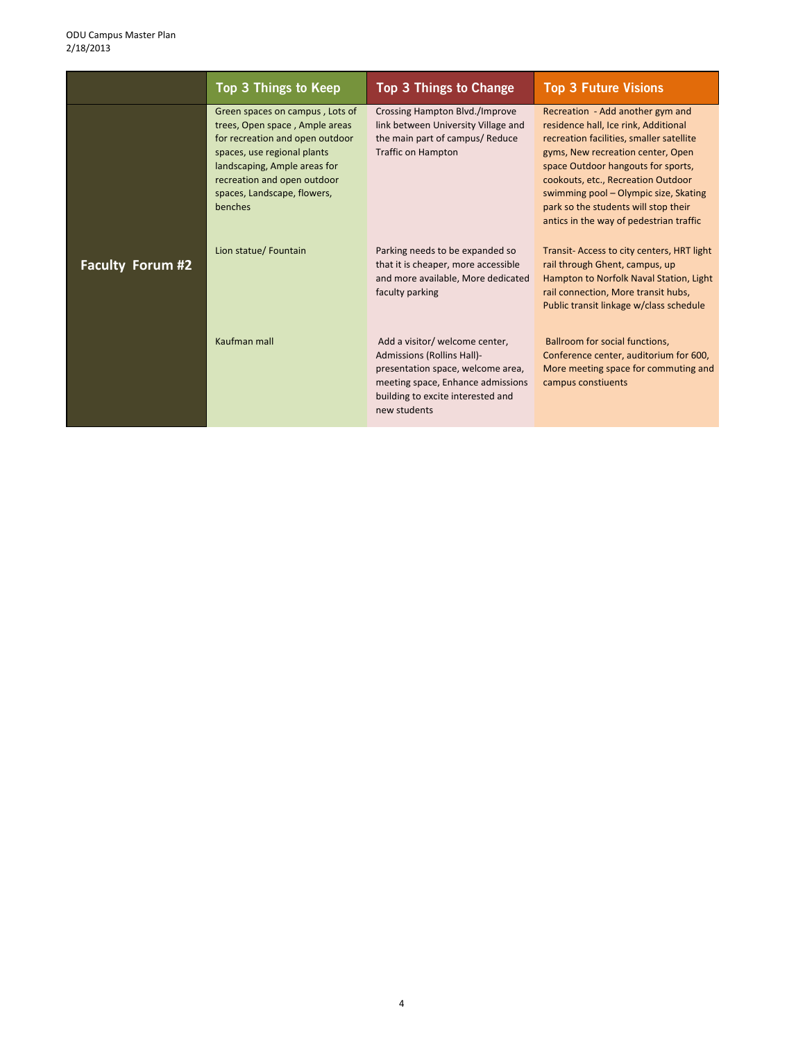|                         | <b>Top 3 Things to Keep</b>                                                                                                                                                                                                                  | <b>Top 3 Things to Change</b>                                                                                                                                                                      | <b>Top 3 Future Visions</b>                                                                                                                                                                                                                                                                                                                                       |
|-------------------------|----------------------------------------------------------------------------------------------------------------------------------------------------------------------------------------------------------------------------------------------|----------------------------------------------------------------------------------------------------------------------------------------------------------------------------------------------------|-------------------------------------------------------------------------------------------------------------------------------------------------------------------------------------------------------------------------------------------------------------------------------------------------------------------------------------------------------------------|
|                         | Green spaces on campus, Lots of<br>trees, Open space, Ample areas<br>for recreation and open outdoor<br>spaces, use regional plants<br>landscaping, Ample areas for<br>recreation and open outdoor<br>spaces, Landscape, flowers,<br>benches | <b>Crossing Hampton Blvd./Improve</b><br>link between University Village and<br>the main part of campus/ Reduce<br><b>Traffic on Hampton</b>                                                       | Recreation - Add another gym and<br>residence hall, Ice rink, Additional<br>recreation facilities, smaller satellite<br>gyms, New recreation center, Open<br>space Outdoor hangouts for sports,<br>cookouts, etc., Recreation Outdoor<br>swimming pool - Olympic size, Skating<br>park so the students will stop their<br>antics in the way of pedestrian traffic |
| <b>Faculty Forum #2</b> | Lion statue/ Fountain                                                                                                                                                                                                                        | Parking needs to be expanded so<br>that it is cheaper, more accessible<br>and more available, More dedicated<br>faculty parking                                                                    | Transit-Access to city centers, HRT light<br>rail through Ghent, campus, up<br>Hampton to Norfolk Naval Station, Light<br>rail connection, More transit hubs,<br>Public transit linkage w/class schedule                                                                                                                                                          |
|                         | Kaufman mall                                                                                                                                                                                                                                 | Add a visitor/ welcome center,<br><b>Admissions (Rollins Hall)-</b><br>presentation space, welcome area,<br>meeting space, Enhance admissions<br>building to excite interested and<br>new students | Ballroom for social functions,<br>Conference center, auditorium for 600,<br>More meeting space for commuting and<br>campus constiuents                                                                                                                                                                                                                            |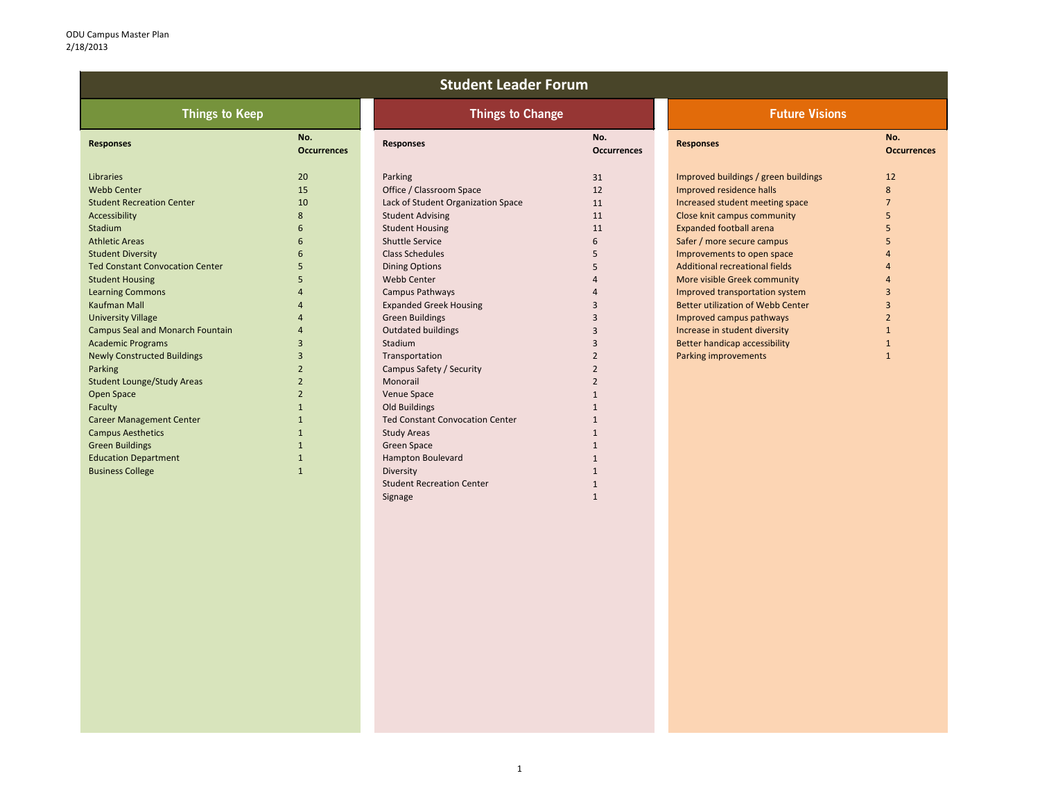|       | No.<br><b>Occurrences</b> |
|-------|---------------------------|
|       |                           |
| dings | 12                        |
|       | 8                         |
| e     | $\overline{7}$            |
|       | 5                         |
|       | 5                         |
|       | 5                         |
|       | $\overline{a}$            |
|       | $\overline{a}$            |
|       | $\overline{\mathbf{r}}$   |
| 1     | 3                         |
| ₽r    | 3                         |
|       | $\overline{2}$            |
|       | $\mathbf{1}$              |
|       | $\mathbf{1}$              |
|       | $\mathbf{1}$              |

| <b>Responses</b>                        | No.<br><b>Occurrences</b> | <b>Responses</b>                       |   |
|-----------------------------------------|---------------------------|----------------------------------------|---|
| Libraries                               | 20                        | Parking                                | 3 |
| <b>Webb Center</b>                      | 15                        | Office / Classroom Space               | 1 |
| <b>Student Recreation Center</b>        | 10                        | Lack of Student Organization Space     |   |
| Accessibility                           | 8                         | <b>Student Advising</b>                |   |
| Stadium                                 | 6                         | <b>Student Housing</b>                 |   |
| <b>Athletic Areas</b>                   | 6                         | <b>Shuttle Service</b>                 | 6 |
| <b>Student Diversity</b>                | 6                         | <b>Class Schedules</b>                 |   |
| <b>Ted Constant Convocation Center</b>  | 5                         | <b>Dining Options</b>                  |   |
| <b>Student Housing</b>                  | 5                         | <b>Webb Center</b>                     |   |
| <b>Learning Commons</b>                 | 4                         | Campus Pathways                        |   |
| <b>Kaufman Mall</b>                     | 4                         | <b>Expanded Greek Housing</b>          | 3 |
| <b>University Village</b>               | 4                         | <b>Green Buildings</b>                 | 3 |
| <b>Campus Seal and Monarch Fountain</b> | 4                         | <b>Outdated buildings</b>              |   |
| <b>Academic Programs</b>                | 3                         | Stadium                                |   |
| <b>Newly Constructed Buildings</b>      | 3                         | Transportation                         |   |
| Parking                                 | 2                         | Campus Safety / Security               |   |
| <b>Student Lounge/Study Areas</b>       | 2                         | Monorail                               |   |
| Open Space                              | 2                         | Venue Space                            |   |
| Faculty                                 | 1                         | <b>Old Buildings</b>                   |   |
| <b>Career Management Center</b>         | 1                         | <b>Ted Constant Convocation Center</b> |   |
| <b>Campus Aesthetics</b>                | 1                         | <b>Study Areas</b>                     |   |
| <b>Green Buildings</b>                  | 1                         | <b>Green Space</b>                     |   |
| <b>Education Department</b>             | 1                         | <b>Hampton Boulevard</b>               |   |
| <b>Business College</b>                 | 1                         | Diversity                              |   |
|                                         |                           | Ctudont Docraption Contor              |   |

| No.<br><b>Occurrences</b> | <b>Responses</b>                       | No.<br><b>Occurren</b> |
|---------------------------|----------------------------------------|------------------------|
| 20                        | Parking                                | 31                     |
| 15                        | Office / Classroom Space               | 12                     |
| 10                        | Lack of Student Organization Space     | 11                     |
| 8                         | <b>Student Advising</b>                | 11                     |
| 6                         | <b>Student Housing</b>                 | 11                     |
| 6                         | <b>Shuttle Service</b>                 | 6                      |
| 6                         | <b>Class Schedules</b>                 | 5                      |
| 5                         | <b>Dining Options</b>                  | 5                      |
| 5                         | <b>Webb Center</b>                     | $\overline{4}$         |
| 4                         | <b>Campus Pathways</b>                 | 4                      |
| 4                         | <b>Expanded Greek Housing</b>          | 3                      |
| 4                         | <b>Green Buildings</b>                 | 3                      |
| 4                         | <b>Outdated buildings</b>              | 3                      |
| 3                         | Stadium                                | 3                      |
| 3                         | Transportation                         | $\overline{2}$         |
| $\overline{2}$            | <b>Campus Safety / Security</b>        | $\overline{2}$         |
| $\overline{2}$            | Monorail                               | $\overline{2}$         |
| $\overline{2}$            | <b>Venue Space</b>                     | $\mathbf{1}$           |
| $\mathbf{1}$              | <b>Old Buildings</b>                   | $\mathbf{1}$           |
| $\mathbf{1}$              | <b>Ted Constant Convocation Center</b> | $\mathbf{1}$           |
| $\mathbf{1}$              | <b>Study Areas</b>                     | $\mathbf{1}$           |
| $\mathbf{1}$              | <b>Green Space</b>                     | $\mathbf{1}$           |
| $\mathbf{1}$              | <b>Hampton Boulevard</b>               | $\mathbf{1}$           |
| $\mathbf{1}$              | Diversity                              | $\mathbf{1}$           |
|                           | <b>Student Recreation Center</b>       | $\mathbf{1}$           |
|                           | Signage                                | $\mathbf{1}$           |

## **Things to Keep Things to Change Things to Change Things to Change Things to Things to Change Things to Change Things to Change Things to Change Things to Change Things to Change Things to Change Things to Change Things t**

## **CCCS**

Improved buildings / green build Improved residence halls Increased student meeting space Close knit campus community Expanded football arena Safer / more secure campus Improvements to open space Additional recreational fields More visible Greek community Improved transportation system Better utilization of Webb Cente Improved campus pathways Increase in student diversity Better handicap accessibility Parking improvements

## **Student Leader Forum**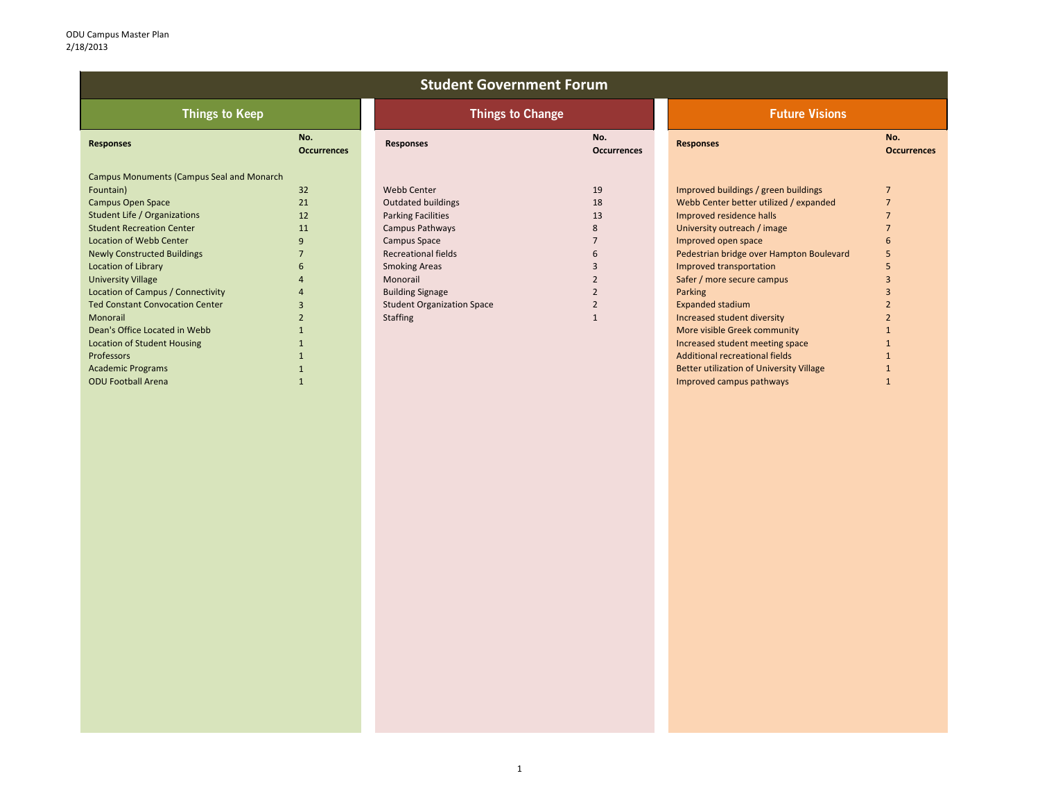| <b>Student Government Forum</b>                  |                           |                                   |                           |                                          |                           |  |
|--------------------------------------------------|---------------------------|-----------------------------------|---------------------------|------------------------------------------|---------------------------|--|
| <b>Things to Keep</b>                            |                           | <b>Things to Change</b>           |                           | <b>Future Visions</b>                    |                           |  |
| <b>Responses</b>                                 | No.<br><b>Occurrences</b> | <b>Responses</b>                  | No.<br><b>Occurrences</b> | <b>Responses</b>                         | No.<br><b>Occurrences</b> |  |
| <b>Campus Monuments (Campus Seal and Monarch</b> |                           |                                   |                           |                                          |                           |  |
| Fountain)                                        | 32                        | <b>Webb Center</b>                | 19                        | Improved buildings / green buildings     |                           |  |
| <b>Campus Open Space</b>                         | 21                        | Outdated buildings                | 18                        | Webb Center better utilized / expanded   |                           |  |
| <b>Student Life / Organizations</b>              | 12                        | <b>Parking Facilities</b>         | 13                        | Improved residence halls                 |                           |  |
| <b>Student Recreation Center</b>                 | 11                        | Campus Pathways                   | 8                         | University outreach / image              |                           |  |
| <b>Location of Webb Center</b>                   |                           | <b>Campus Space</b>               |                           | Improved open space                      |                           |  |
| <b>Newly Constructed Buildings</b>               |                           | <b>Recreational fields</b>        |                           | Pedestrian bridge over Hampton Boulevard |                           |  |
| Location of Library                              |                           | <b>Smoking Areas</b>              |                           | Improved transportation                  |                           |  |
| <b>University Village</b>                        |                           | Monorail                          |                           | Safer / more secure campus               |                           |  |
| Location of Campus / Connectivity                |                           | <b>Building Signage</b>           |                           | Parking                                  |                           |  |
| <b>Ted Constant Convocation Center</b>           |                           | <b>Student Organization Space</b> |                           | Expanded stadium                         |                           |  |
| Monorail                                         |                           | <b>Staffing</b>                   |                           | Increased student diversity              |                           |  |
| Dean's Office Located in Webb                    |                           |                                   |                           | More visible Greek community             |                           |  |
| <b>Location of Student Housing</b>               |                           |                                   |                           | Increased student meeting space          |                           |  |
| Professors                                       |                           |                                   |                           | Additional recreational fields           |                           |  |
| <b>Academic Programs</b>                         |                           |                                   |                           | Better utilization of University Village |                           |  |
| <b>ODU Football Arena</b>                        |                           |                                   |                           | Improved campus pathways                 |                           |  |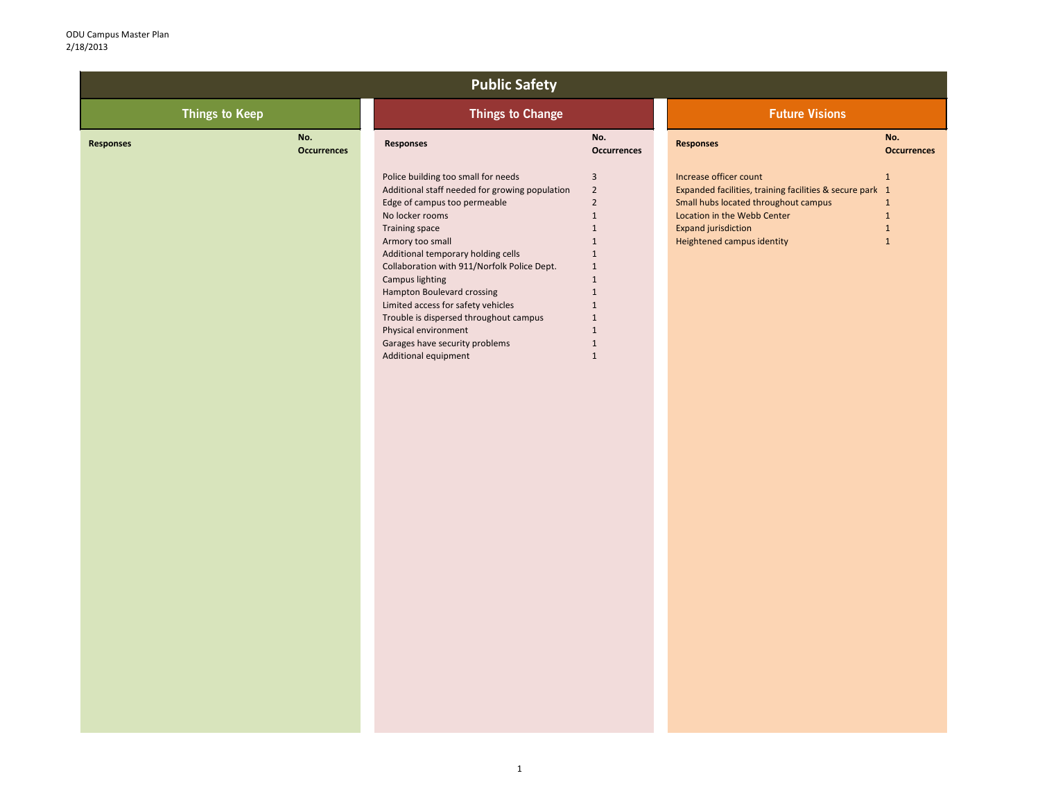| No.                |
|--------------------|
| <b>Occurrences</b> |

| <b>Public Safety</b>                          |                                                                                                                                                                                                                                                                                                                                                                                                                                                                                               |                                                                                                                                 |                                                                                                                                                                                                                       |                                          |  |
|-----------------------------------------------|-----------------------------------------------------------------------------------------------------------------------------------------------------------------------------------------------------------------------------------------------------------------------------------------------------------------------------------------------------------------------------------------------------------------------------------------------------------------------------------------------|---------------------------------------------------------------------------------------------------------------------------------|-----------------------------------------------------------------------------------------------------------------------------------------------------------------------------------------------------------------------|------------------------------------------|--|
| <b>Things to Keep</b>                         | <b>Things to Change</b>                                                                                                                                                                                                                                                                                                                                                                                                                                                                       |                                                                                                                                 | <b>Future Visions</b>                                                                                                                                                                                                 |                                          |  |
| No.<br><b>Responses</b><br><b>Occurrences</b> | <b>Responses</b>                                                                                                                                                                                                                                                                                                                                                                                                                                                                              | No.<br><b>Occurrences</b>                                                                                                       | <b>Responses</b>                                                                                                                                                                                                      | <b>N</b><br>O(                           |  |
|                                               | Police building too small for needs<br>Additional staff needed for growing population<br>Edge of campus too permeable<br>No locker rooms<br>Training space<br>Armory too small<br>Additional temporary holding cells<br>Collaboration with 911/Norfolk Police Dept.<br><b>Campus lighting</b><br>Hampton Boulevard crossing<br>Limited access for safety vehicles<br>Trouble is dispersed throughout campus<br>Physical environment<br>Garages have security problems<br>Additional equipment | $\overline{3}$<br>$2^{\circ}$<br>$\overline{2}$<br>-1<br>$\mathbf{1}$<br>$\mathbf{1}$<br>$\mathbf{1}$<br>1<br>1<br>$\mathbf{1}$ | Increase officer count<br>Expanded facilities, training facilities & secure park 1<br>Small hubs located throughout campus<br>Location in the Webb Center<br><b>Expand jurisdiction</b><br>Heightened campus identity | $\mathbf{1}$<br>$\mathbf{1}$<br>-1<br>-1 |  |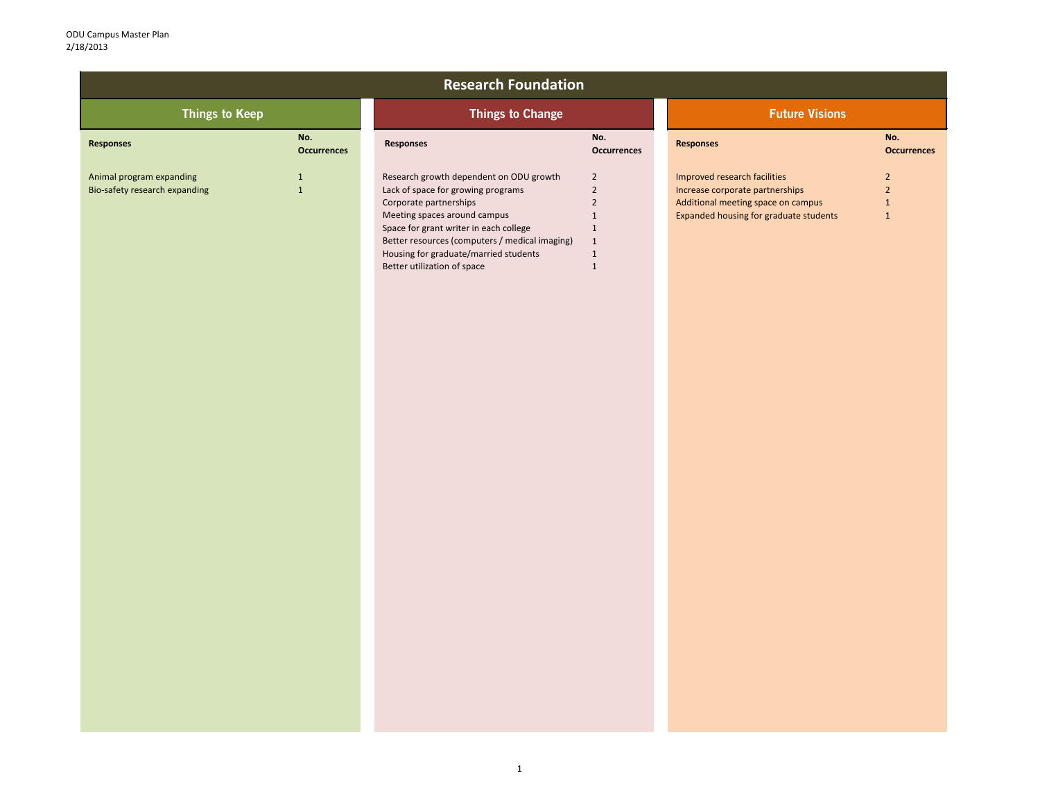| No.                |
|--------------------|
| <b>Occurrences</b> |
|                    |

| <b>Research Foundation</b>                                |                              |                                                                                                                                                                                                                                                                                                             |                                                                                                                                     |                                                                                                                                                 |                                                                  |
|-----------------------------------------------------------|------------------------------|-------------------------------------------------------------------------------------------------------------------------------------------------------------------------------------------------------------------------------------------------------------------------------------------------------------|-------------------------------------------------------------------------------------------------------------------------------------|-------------------------------------------------------------------------------------------------------------------------------------------------|------------------------------------------------------------------|
| <b>Things to Keep</b>                                     |                              | <b>Things to Change</b>                                                                                                                                                                                                                                                                                     |                                                                                                                                     | <b>Future Visions</b>                                                                                                                           |                                                                  |
| <b>Responses</b>                                          | No.<br><b>Occurrences</b>    | <b>Responses</b>                                                                                                                                                                                                                                                                                            | No.<br><b>Occurrences</b>                                                                                                           | <b>Responses</b>                                                                                                                                | No.<br>Occuri                                                    |
| Animal program expanding<br>Bio-safety research expanding | $\mathbf{1}$<br>$\mathbf{1}$ | Research growth dependent on ODU growth<br>Lack of space for growing programs<br>Corporate partnerships<br>Meeting spaces around campus<br>Space for grant writer in each college<br>Better resources (computers / medical imaging)<br>Housing for graduate/married students<br>Better utilization of space | $2\overline{ }$<br>$\overline{2}$<br>$\overline{2}$<br>$\mathbf{1}$<br>$\mathbf{1}$<br>$\mathbf{1}$<br>$\mathbf{1}$<br>$\mathbf{1}$ | Improved research facilities<br>Increase corporate partnerships<br>Additional meeting space on campus<br>Expanded housing for graduate students | $\overline{2}$<br>2 <sup>2</sup><br>$\mathbf{1}$<br>$\mathbf{1}$ |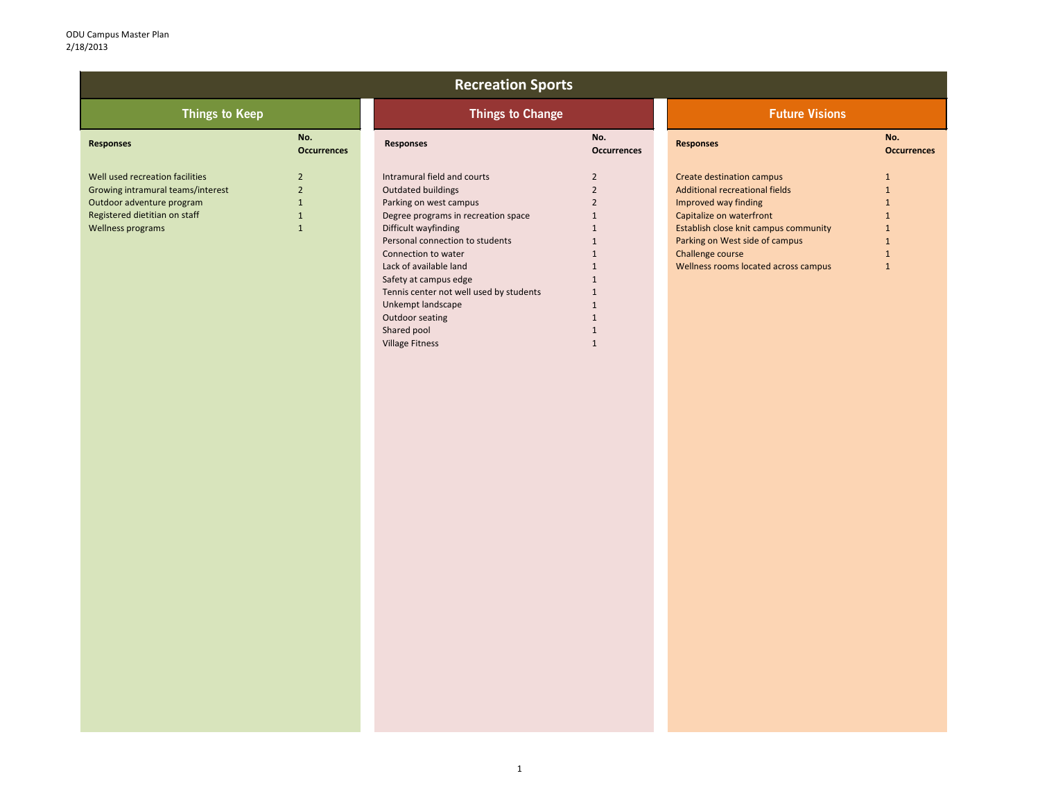| <b>Recreation Sports</b>                                                                                                                                |                                                                       |                                                                                                                                                                                                                                                                                                                                                                                     |                                                                                                                                                                          |                                                                                                                                                                                                                                                               |                                                                                                                              |  |
|---------------------------------------------------------------------------------------------------------------------------------------------------------|-----------------------------------------------------------------------|-------------------------------------------------------------------------------------------------------------------------------------------------------------------------------------------------------------------------------------------------------------------------------------------------------------------------------------------------------------------------------------|--------------------------------------------------------------------------------------------------------------------------------------------------------------------------|---------------------------------------------------------------------------------------------------------------------------------------------------------------------------------------------------------------------------------------------------------------|------------------------------------------------------------------------------------------------------------------------------|--|
| <b>Things to Keep</b>                                                                                                                                   |                                                                       | <b>Things to Change</b>                                                                                                                                                                                                                                                                                                                                                             |                                                                                                                                                                          | <b>Future Visions</b>                                                                                                                                                                                                                                         |                                                                                                                              |  |
| <b>Responses</b>                                                                                                                                        | No.<br><b>Occurrences</b>                                             | Responses                                                                                                                                                                                                                                                                                                                                                                           | No.<br><b>Occurrences</b>                                                                                                                                                | <b>Responses</b>                                                                                                                                                                                                                                              | No.<br><b>Occurrences</b>                                                                                                    |  |
| Well used recreation facilities<br>Growing intramural teams/interest<br>Outdoor adventure program<br>Registered dietitian on staff<br>Wellness programs | $\overline{2}$<br>2 <sup>2</sup><br>$\mathbf{1}$<br>1<br>$\mathbf{1}$ | Intramural field and courts<br>Outdated buildings<br>Parking on west campus<br>Degree programs in recreation space<br>Difficult wayfinding<br>Personal connection to students<br>Connection to water<br>Lack of available land<br>Safety at campus edge<br>Tennis center not well used by students<br>Unkempt landscape<br>Outdoor seating<br>Shared pool<br><b>Village Fitness</b> | $\overline{2}$<br>$2^{\circ}$<br>$\overline{2}$<br>$\mathbf{1}$<br>1<br>$\mathbf{1}$<br>1<br>1<br>$\mathbf{1}$<br>$\mathbf{1}$<br>$\mathbf{1}$<br>1<br>$\mathbf{1}$<br>1 | Create destination campus<br><b>Additional recreational fields</b><br>Improved way finding<br>Capitalize on waterfront<br>Establish close knit campus community<br>Parking on West side of campus<br>Challenge course<br>Wellness rooms located across campus | $\mathbf{1}$<br>$\mathbf{1}$<br>$\mathbf{1}$<br>$\mathbf{1}$<br>$\mathbf{1}$<br>$\mathbf{1}$<br>$\mathbf{1}$<br>$\mathbf{1}$ |  |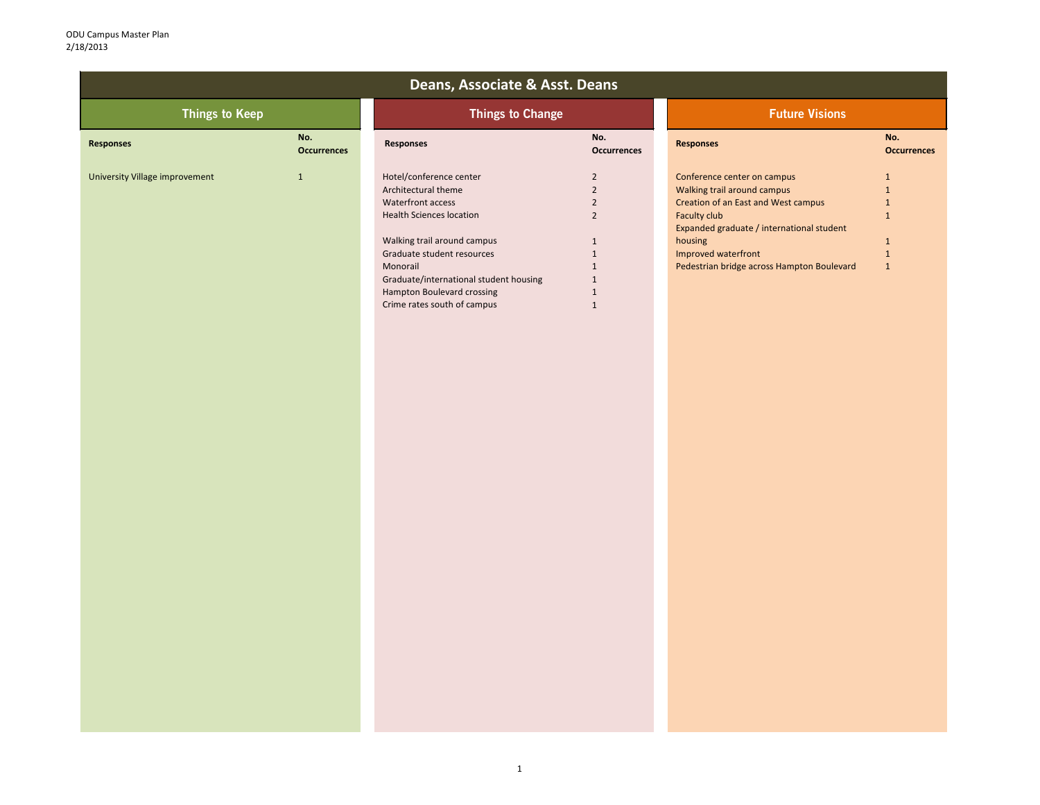| Deans, Associate & Asst. Deans |                           |                                                                                                                                                                                                                                                                                        |                                                                                                                                                                      |                                                                                                                                                                                                                                                       |                                                                                                             |  |
|--------------------------------|---------------------------|----------------------------------------------------------------------------------------------------------------------------------------------------------------------------------------------------------------------------------------------------------------------------------------|----------------------------------------------------------------------------------------------------------------------------------------------------------------------|-------------------------------------------------------------------------------------------------------------------------------------------------------------------------------------------------------------------------------------------------------|-------------------------------------------------------------------------------------------------------------|--|
| <b>Things to Keep</b>          |                           | <b>Things to Change</b>                                                                                                                                                                                                                                                                |                                                                                                                                                                      | <b>Future Visions</b>                                                                                                                                                                                                                                 |                                                                                                             |  |
| <b>Responses</b>               | No.<br><b>Occurrences</b> | <b>Responses</b>                                                                                                                                                                                                                                                                       | No.<br><b>Occurrences</b>                                                                                                                                            | <b>Responses</b>                                                                                                                                                                                                                                      | No.<br><b>Occurrences</b>                                                                                   |  |
| University Village improvement | $\mathbf{1}$              | Hotel/conference center<br>Architectural theme<br>Waterfront access<br><b>Health Sciences location</b><br>Walking trail around campus<br>Graduate student resources<br>Monorail<br>Graduate/international student housing<br>Hampton Boulevard crossing<br>Crime rates south of campus | $\overline{2}$<br>$\overline{2}$<br>$\overline{2}$<br>$\overline{2}$<br>$\mathbf{1}$<br>$\mathbf{1}$<br>$\mathbf{1}$<br>$\mathbf{1}$<br>$\mathbf{1}$<br>$\mathbf{1}$ | Conference center on campus<br>Walking trail around campus<br><b>Creation of an East and West campus</b><br>Faculty club<br>Expanded graduate / international student<br>housing<br>Improved waterfront<br>Pedestrian bridge across Hampton Boulevard | $\mathbf{1}$<br>$\mathbf 1$<br>$\mathbf{1}$<br>$\mathbf{1}$<br>$\mathbf{1}$<br>$\mathbf{1}$<br>$\mathbf{1}$ |  |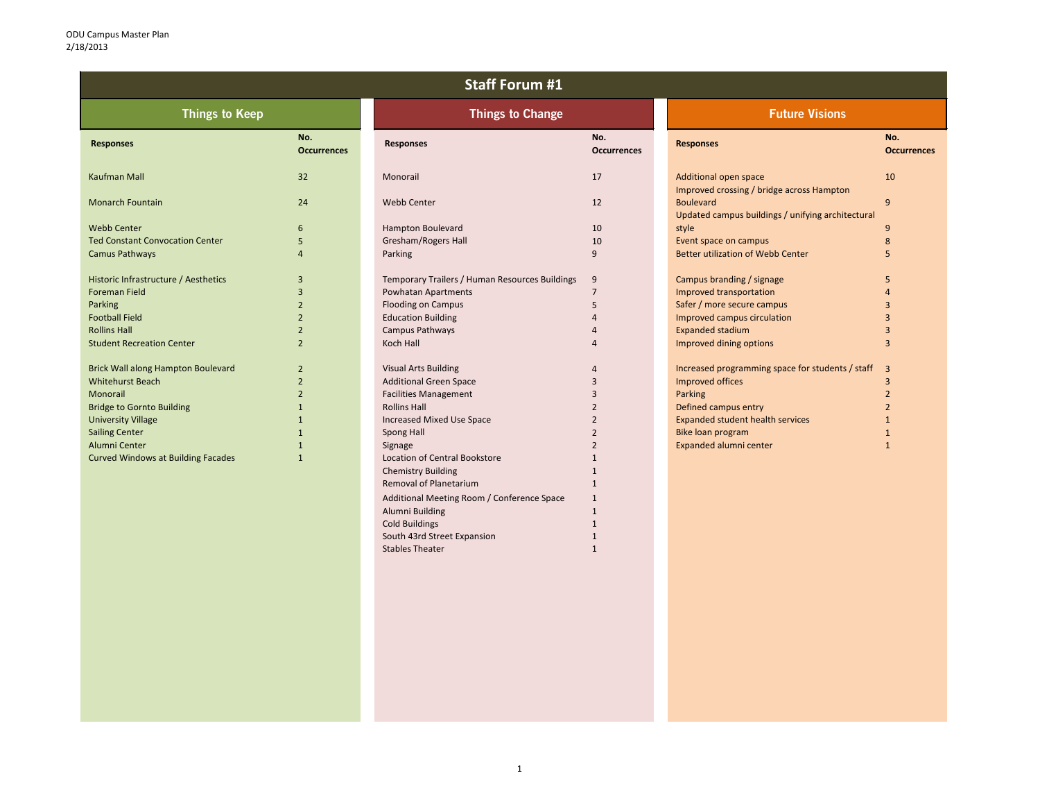| <b>Staff Forum #1</b>                     |                           |                                                |                           |                                                                           |                           |
|-------------------------------------------|---------------------------|------------------------------------------------|---------------------------|---------------------------------------------------------------------------|---------------------------|
| <b>Things to Keep</b>                     |                           | <b>Things to Change</b>                        |                           | <b>Future Visions</b>                                                     |                           |
| <b>Responses</b>                          | No.<br><b>Occurrences</b> | <b>Responses</b>                               | No.<br><b>Occurrences</b> | <b>Responses</b>                                                          | No.<br><b>Occurrences</b> |
| <b>Kaufman Mall</b>                       | 32                        | Monorail                                       | 17                        | <b>Additional open space</b><br>Improved crossing / bridge across Hampton | 10                        |
| <b>Monarch Fountain</b>                   | 24                        | <b>Webb Center</b>                             | 12                        | <b>Boulevard</b><br>Updated campus buildings / unifying architectural     | $\overline{9}$            |
| <b>Webb Center</b>                        | 6                         | Hampton Boulevard                              | 10                        | style                                                                     | 9                         |
| <b>Ted Constant Convocation Center</b>    | 5                         | <b>Gresham/Rogers Hall</b>                     | 10                        | Event space on campus                                                     | 8                         |
| Camus Pathways                            | $\boldsymbol{\Lambda}$    | Parking                                        | $\overline{9}$            | <b>Better utilization of Webb Center</b>                                  | 5                         |
| Historic Infrastructure / Aesthetics      | $\overline{3}$            | Temporary Trailers / Human Resources Buildings | 9                         | Campus branding / signage                                                 | 5                         |
| <b>Foreman Field</b>                      | $\overline{3}$            | <b>Powhatan Apartments</b>                     | 7                         | Improved transportation                                                   |                           |
| Parking                                   | $\overline{2}$            | <b>Flooding on Campus</b>                      | 5                         | Safer / more secure campus                                                |                           |
| <b>Football Field</b>                     | $\overline{2}$            | <b>Education Building</b>                      |                           | Improved campus circulation                                               | 3                         |
| <b>Rollins Hall</b>                       | $\overline{2}$            | <b>Campus Pathways</b>                         |                           | <b>Expanded stadium</b>                                                   | 3                         |
| <b>Student Recreation Center</b>          | 2                         | Koch Hall                                      |                           | <b>Improved dining options</b>                                            | 3                         |
| <b>Brick Wall along Hampton Boulevard</b> | $\overline{2}$            | <b>Visual Arts Building</b>                    | $\Delta$                  | Increased programming space for students / staff                          | $\overline{\mathbf{3}}$   |
| <b>Whitehurst Beach</b>                   | $\overline{2}$            | <b>Additional Green Space</b>                  |                           | Improved offices                                                          | 3                         |
| Monorail                                  | $\overline{2}$            | <b>Facilities Management</b>                   | 3                         | Parking                                                                   |                           |
| <b>Bridge to Gornto Building</b>          |                           | <b>Rollins Hall</b>                            |                           | Defined campus entry                                                      | $\mathcal{P}$             |
| <b>University Village</b>                 |                           | <b>Increased Mixed Use Space</b>               |                           | <b>Expanded student health services</b>                                   |                           |
| <b>Sailing Center</b>                     |                           | <b>Spong Hall</b>                              | $\mathcal{P}$             | Bike loan program                                                         | $\mathbf{1}$              |
| Alumni Center                             |                           | Signage                                        |                           | Expanded alumni center                                                    | $\mathbf{1}$              |
| <b>Curved Windows at Building Facades</b> |                           | <b>Location of Central Bookstore</b>           |                           |                                                                           |                           |
|                                           |                           | <b>Chemistry Building</b>                      |                           |                                                                           |                           |
|                                           |                           | <b>Removal of Planetarium</b>                  |                           |                                                                           |                           |
|                                           |                           | Additional Meeting Room / Conference Space     | $\mathbf{1}$              |                                                                           |                           |

Alumni Building 2012 12:00 12:00 12:00 12:00 12:00 12:00 12:00 12:00 12:00 12:00 12:00 12:00 12:00 12:00 12:00 12:00 12:00 12:00 12:00 12:00 12:00 12:00 12:00 12:00 12:00 12:00 12:00 12:00 12:00 12:00 12:00 12:00 12:00 12: Cold Buildings 1 South 43rd Street Expansion 1 Stables Theater 1 and 1 and 1 and 1 and 1 and 1 and 1 and 1 and 1 and 1 and 1 and 1 and 1 and 1 and 1 and 1 and 1 and 1 and 1 and 1 and 1 and 1 and 1 and 1 and 1 and 1 and 1 and 1 and 1 and 1 and 1 and 1 and 1 and 1 and 1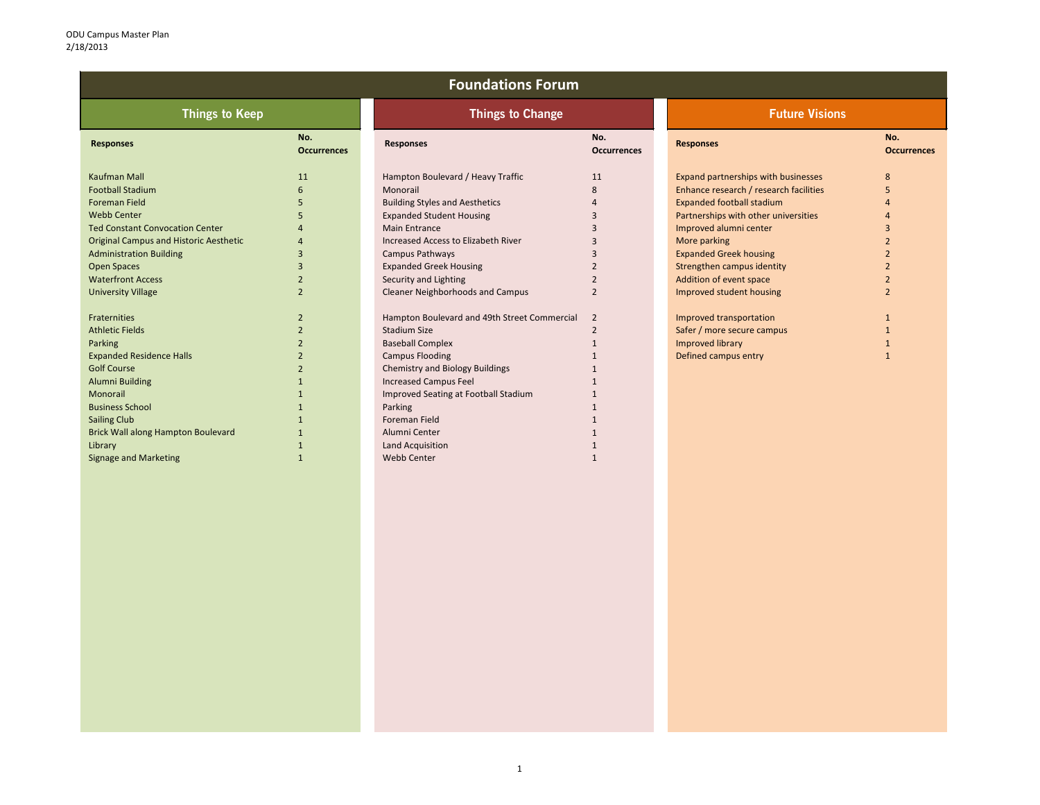|     | No.                     |
|-----|-------------------------|
|     | <b>Occurrences</b>      |
|     |                         |
| es  | 8                       |
| ies | 5                       |
|     | $\overline{\mathbf{r}}$ |
| S   | $\overline{a}$          |
|     | $\overline{\mathbf{3}}$ |
|     | $\overline{2}$          |
|     | $\overline{2}$          |
|     | $\overline{c}$          |
|     | $\overline{2}$          |
|     | $\overline{2}$          |
|     |                         |
|     | $\mathbf{1}$            |
|     | $\mathbf{1}$            |
|     | $\mathbf{1}$            |
|     |                         |

| <b>Foundations Forum</b>                      |                           |                                              |                           |                                        |  |  |
|-----------------------------------------------|---------------------------|----------------------------------------------|---------------------------|----------------------------------------|--|--|
| <b>Things to Keep</b>                         |                           | <b>Things to Change</b>                      |                           | <b>Future Visions</b>                  |  |  |
| <b>Responses</b>                              | No.<br><b>Occurrences</b> | <b>Responses</b>                             | No.<br><b>Occurrences</b> | <b>Responses</b>                       |  |  |
| <b>Kaufman Mall</b>                           | 11                        | Hampton Boulevard / Heavy Traffic            | 11                        | Expand partnerships with businesses    |  |  |
| <b>Football Stadium</b>                       | 6                         | Monorail                                     | 8                         | Enhance research / research facilities |  |  |
| <b>Foreman Field</b>                          | 5                         | <b>Building Styles and Aesthetics</b>        |                           | <b>Expanded football stadium</b>       |  |  |
| <b>Webb Center</b>                            |                           | <b>Expanded Student Housing</b>              |                           | Partnerships with other universities   |  |  |
| <b>Ted Constant Convocation Center</b>        |                           | <b>Main Entrance</b>                         |                           | Improved alumni center                 |  |  |
| <b>Original Campus and Historic Aesthetic</b> |                           | Increased Access to Elizabeth River          |                           | More parking                           |  |  |
| <b>Administration Building</b>                | 3                         | Campus Pathways                              |                           | <b>Expanded Greek housing</b>          |  |  |
| <b>Open Spaces</b>                            |                           | <b>Expanded Greek Housing</b>                |                           | Strengthen campus identity             |  |  |
| <b>Waterfront Access</b>                      | $\overline{2}$            | Security and Lighting                        |                           | Addition of event space                |  |  |
| <b>University Village</b>                     | $\overline{2}$            | <b>Cleaner Neighborhoods and Campus</b>      |                           | Improved student housing               |  |  |
| Fraternities                                  | $\overline{2}$            | Hampton Boulevard and 49th Street Commercial | $\overline{2}$            | Improved transportation                |  |  |
| <b>Athletic Fields</b>                        | $\overline{2}$            | <b>Stadium Size</b>                          | 2                         | Safer / more secure campus             |  |  |
| Parking                                       |                           | <b>Baseball Complex</b>                      |                           | Improved library                       |  |  |
| <b>Expanded Residence Halls</b>               | $\overline{2}$            | <b>Campus Flooding</b>                       |                           | Defined campus entry                   |  |  |
| <b>Golf Course</b>                            |                           | <b>Chemistry and Biology Buildings</b>       |                           |                                        |  |  |
| <b>Alumni Building</b>                        |                           | <b>Increased Campus Feel</b>                 |                           |                                        |  |  |
| Monorail                                      |                           | Improved Seating at Football Stadium         |                           |                                        |  |  |
| <b>Business School</b>                        |                           | Parking                                      |                           |                                        |  |  |
| <b>Sailing Club</b>                           |                           | Foreman Field                                |                           |                                        |  |  |
| <b>Brick Wall along Hampton Boulevard</b>     |                           | Alumni Center                                |                           |                                        |  |  |
| Library                                       |                           | <b>Land Acquisition</b>                      |                           |                                        |  |  |
| <b>Signage and Marketing</b>                  |                           | <b>Webb Center</b>                           |                           |                                        |  |  |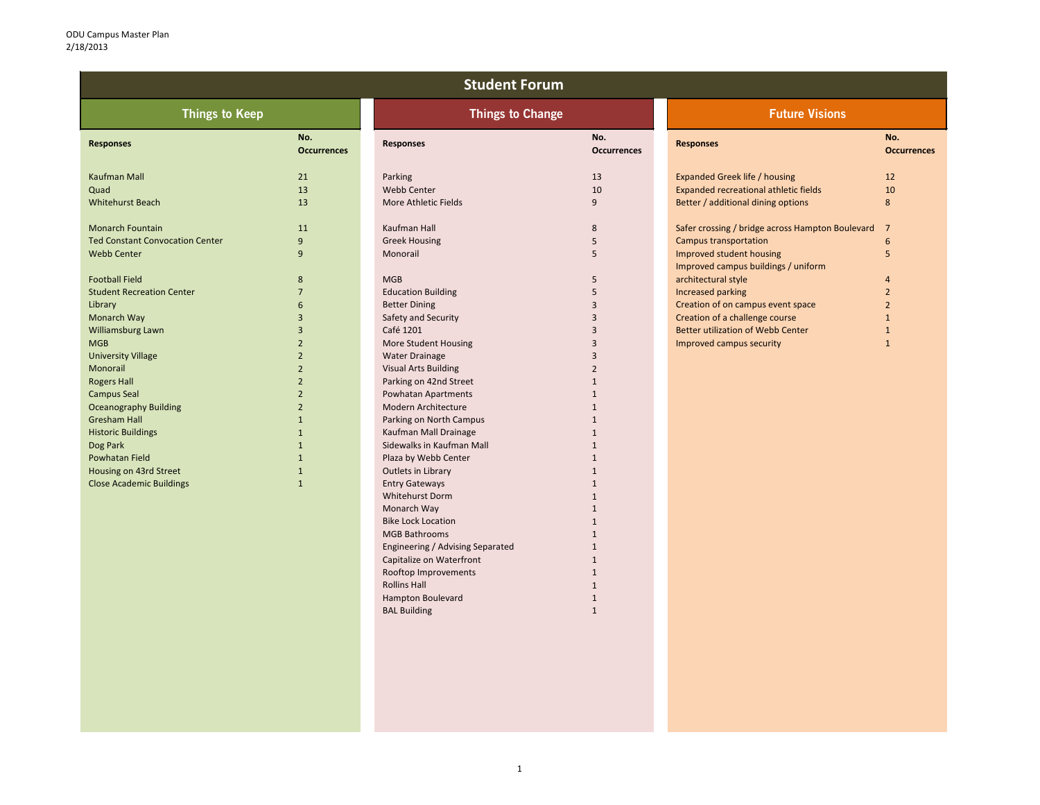| <b>Student Forum</b>                   |                           |                                  |                           |                                                  |                           |  |
|----------------------------------------|---------------------------|----------------------------------|---------------------------|--------------------------------------------------|---------------------------|--|
| <b>Things to Keep</b>                  |                           |                                  | <b>Things to Change</b>   |                                                  | <b>Future Visions</b>     |  |
| <b>Responses</b>                       | No.<br><b>Occurrences</b> | <b>Responses</b>                 | No.<br><b>Occurrences</b> | <b>Responses</b>                                 | No.<br><b>Occurrences</b> |  |
| <b>Kaufman Mall</b>                    | 21                        | Parking                          | 13                        | <b>Expanded Greek life / housing</b>             | 12                        |  |
| Quad                                   | 13                        | <b>Webb Center</b>               | 10                        | Expanded recreational athletic fields            | 10                        |  |
| <b>Whitehurst Beach</b>                | 13                        | More Athletic Fields             | 9                         | Better / additional dining options               | 8                         |  |
| <b>Monarch Fountain</b>                | 11                        | Kaufman Hall                     | 8                         | Safer crossing / bridge across Hampton Boulevard | $\overline{7}$            |  |
| <b>Ted Constant Convocation Center</b> | 9                         | <b>Greek Housing</b>             | 5                         | <b>Campus transportation</b>                     | 6                         |  |
| <b>Webb Center</b>                     | 9                         | Monorail                         | 5                         | Improved student housing                         | 5                         |  |
|                                        |                           |                                  |                           | Improved campus buildings / uniform              |                           |  |
| <b>Football Field</b>                  | 8                         | <b>MGB</b>                       | 5                         | architectural style                              | 4                         |  |
| <b>Student Recreation Center</b>       | $\overline{7}$            | <b>Education Building</b>        | 5                         | Increased parking                                | $\overline{2}$            |  |
| Library                                | 6                         | <b>Better Dining</b>             | 3                         | Creation of on campus event space                | $\overline{2}$            |  |
| Monarch Way                            |                           | Safety and Security              |                           | Creation of a challenge course                   |                           |  |
| Williamsburg Lawn                      |                           | Café 1201                        | 3                         | <b>Better utilization of Webb Center</b>         |                           |  |
| <b>MGB</b>                             |                           | <b>More Student Housing</b>      | 3                         | Improved campus security                         | $\mathbf 1$               |  |
| <b>University Village</b>              | $\overline{2}$            | <b>Water Drainage</b>            | 3                         |                                                  |                           |  |
| Monorail                               | 2                         | <b>Visual Arts Building</b>      | 2                         |                                                  |                           |  |
| <b>Rogers Hall</b>                     |                           | Parking on 42nd Street           |                           |                                                  |                           |  |
| <b>Campus Seal</b>                     | $\overline{2}$            | <b>Powhatan Apartments</b>       |                           |                                                  |                           |  |
| <b>Oceanography Building</b>           | 2                         | Modern Architecture              |                           |                                                  |                           |  |
| <b>Gresham Hall</b>                    |                           | Parking on North Campus          | -1                        |                                                  |                           |  |
| <b>Historic Buildings</b>              |                           | Kaufman Mall Drainage            |                           |                                                  |                           |  |
| Dog Park                               |                           | Sidewalks in Kaufman Mall        |                           |                                                  |                           |  |
| Powhatan Field                         |                           | Plaza by Webb Center             |                           |                                                  |                           |  |
| Housing on 43rd Street                 |                           | Outlets in Library               |                           |                                                  |                           |  |
| <b>Close Academic Buildings</b>        |                           | <b>Entry Gateways</b>            |                           |                                                  |                           |  |
|                                        |                           | Whitehurst Dorm                  |                           |                                                  |                           |  |
|                                        |                           | Monarch Way                      |                           |                                                  |                           |  |
|                                        |                           | <b>Bike Lock Location</b>        |                           |                                                  |                           |  |
|                                        |                           | <b>MGB Bathrooms</b>             |                           |                                                  |                           |  |
|                                        |                           | Engineering / Advising Separated |                           |                                                  |                           |  |
|                                        |                           | Capitalize on Waterfront         |                           |                                                  |                           |  |
|                                        |                           | Rooftop Improvements             |                           |                                                  |                           |  |
|                                        |                           | <b>Rollins Hall</b>              |                           |                                                  |                           |  |
|                                        |                           | Hampton Boulevard                |                           |                                                  |                           |  |
|                                        |                           | <b>BAL Building</b>              |                           |                                                  |                           |  |
|                                        |                           |                                  |                           |                                                  |                           |  |
|                                        |                           |                                  |                           |                                                  |                           |  |
|                                        |                           |                                  |                           |                                                  |                           |  |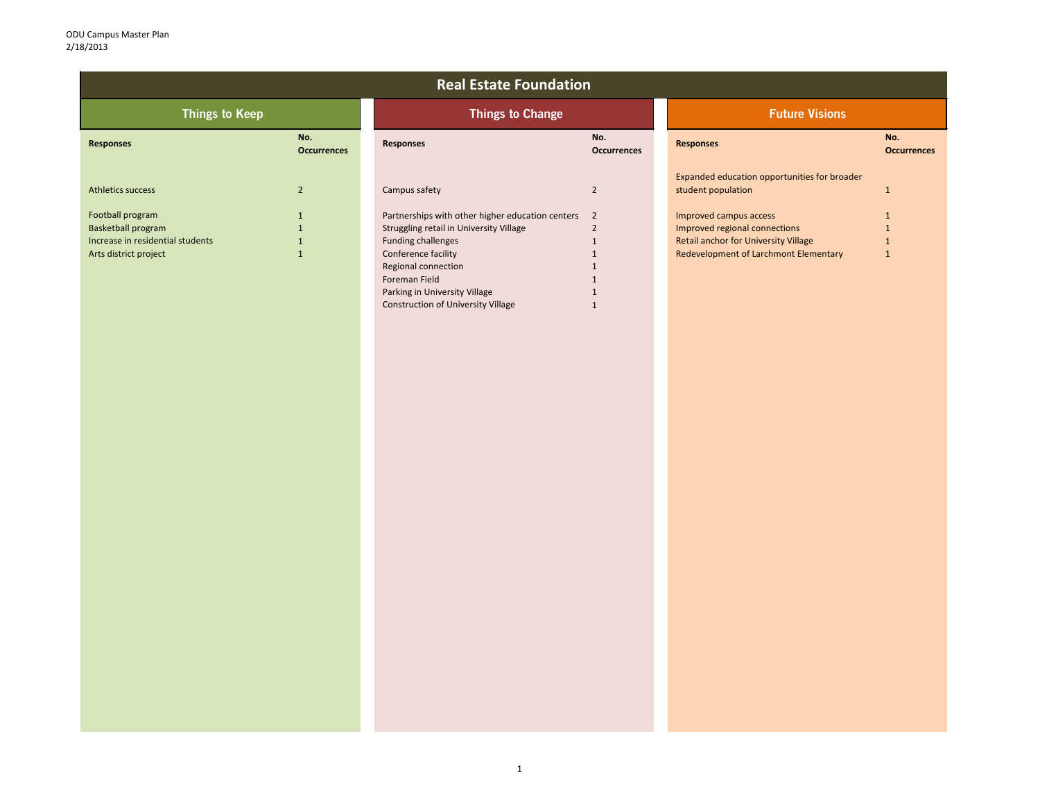| No.                |
|--------------------|
| <b>Occurrences</b> |

| <b>Real Estate Foundation</b>                                                                                                                                       |                                                                                                                           |                                                                                                                                          |                                                                                                                       |                                                                                                                                          |                                                              |  |
|---------------------------------------------------------------------------------------------------------------------------------------------------------------------|---------------------------------------------------------------------------------------------------------------------------|------------------------------------------------------------------------------------------------------------------------------------------|-----------------------------------------------------------------------------------------------------------------------|------------------------------------------------------------------------------------------------------------------------------------------|--------------------------------------------------------------|--|
| Things to Keep                                                                                                                                                      |                                                                                                                           | <b>Things to Change</b>                                                                                                                  |                                                                                                                       | <b>Future Visions</b>                                                                                                                    |                                                              |  |
| No.<br><b>Responses</b><br><b>Occurrences</b>                                                                                                                       | <b>Responses</b>                                                                                                          |                                                                                                                                          | No.<br><b>Occurrences</b>                                                                                             | <b>Responses</b>                                                                                                                         | N<br>$\mathbf{o}$                                            |  |
| Athletics success<br>$\overline{2}$                                                                                                                                 | Campus safety                                                                                                             |                                                                                                                                          | $\overline{2}$                                                                                                        | Expanded education opportunities for broader<br>student population                                                                       | $\mathbf{1}$                                                 |  |
| Football program<br>$\mathbf{1}$<br>Basketball program<br>$\mathbf{1}$<br>Increase in residential students<br>$\mathbf{1}$<br>Arts district project<br>$\mathbf{1}$ | <b>Funding challenges</b><br>Conference facility<br>Regional connection<br>Foreman Field<br>Parking in University Village | Partnerships with other higher education centers<br>Struggling retail in University Village<br><b>Construction of University Village</b> | $\overline{2}$<br>$\overline{2}$<br>$\mathbf{1}$<br>$\mathbf{1}$<br>1<br>$\mathbf{1}$<br>$\mathbf{1}$<br>$\mathbf{1}$ | Improved campus access<br>Improved regional connections<br>Retail anchor for University Village<br>Redevelopment of Larchmont Elementary | $\mathbf{1}$<br>$\mathbf{1}$<br>$\mathbf{1}$<br>$\mathbf{1}$ |  |
|                                                                                                                                                                     |                                                                                                                           |                                                                                                                                          |                                                                                                                       |                                                                                                                                          |                                                              |  |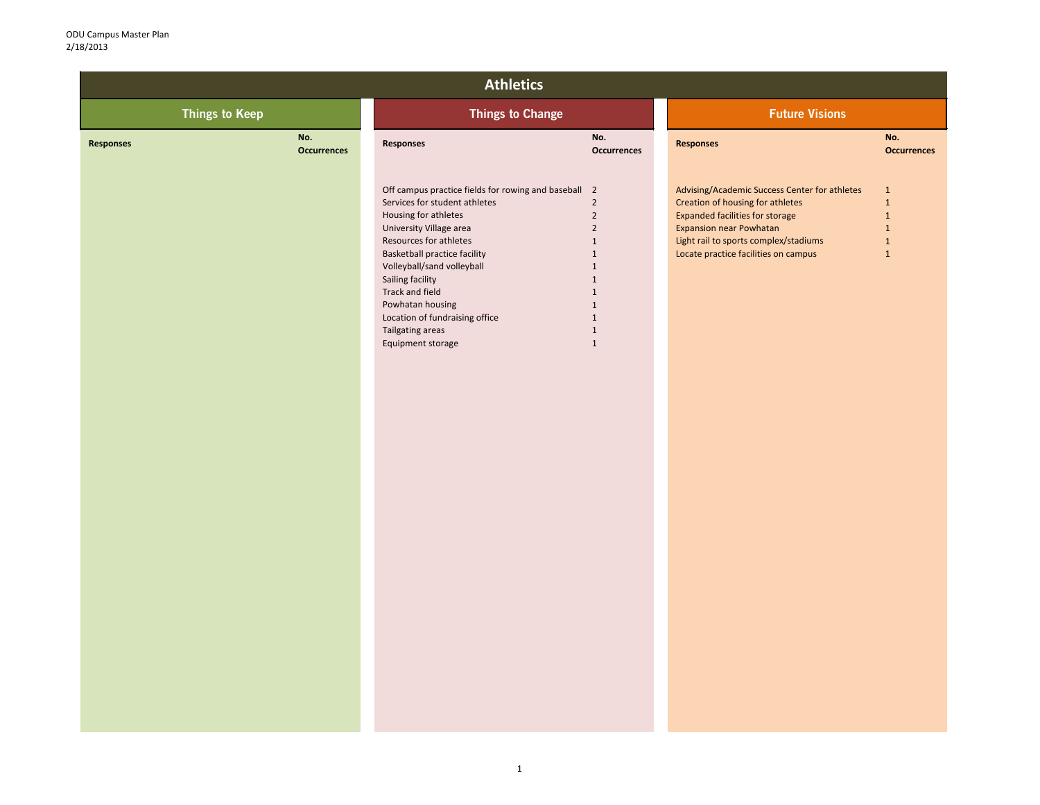| No. |                    |
|-----|--------------------|
|     | <b>Occurrences</b> |

| <b>Athletics</b>      |                           |                                                                                                                                                                                                                                                                                                                                                                               |                                                                                                                                                        |                                                                                                                                                                                                                                                |                                                                                              |  |
|-----------------------|---------------------------|-------------------------------------------------------------------------------------------------------------------------------------------------------------------------------------------------------------------------------------------------------------------------------------------------------------------------------------------------------------------------------|--------------------------------------------------------------------------------------------------------------------------------------------------------|------------------------------------------------------------------------------------------------------------------------------------------------------------------------------------------------------------------------------------------------|----------------------------------------------------------------------------------------------|--|
| <b>Things to Keep</b> |                           | <b>Things to Change</b>                                                                                                                                                                                                                                                                                                                                                       |                                                                                                                                                        | <b>Future Visions</b>                                                                                                                                                                                                                          |                                                                                              |  |
| <b>Responses</b>      | No.<br><b>Occurrences</b> | <b>Responses</b>                                                                                                                                                                                                                                                                                                                                                              | No.<br><b>Occurrences</b>                                                                                                                              | <b>Responses</b>                                                                                                                                                                                                                               | No.<br>Occu                                                                                  |  |
|                       |                           | Off campus practice fields for rowing and baseball 2<br>Services for student athletes<br>Housing for athletes<br>University Village area<br>Resources for athletes<br><b>Basketball practice facility</b><br>Volleyball/sand volleyball<br>Sailing facility<br>Track and field<br>Powhatan housing<br>Location of fundraising office<br>Tailgating areas<br>Equipment storage | $\overline{2}$<br>$\overline{2}$<br>$\overline{2}$<br>1<br>$\mathbf{1}$<br>1<br>1<br>$\mathbf{1}$<br>$\mathbf{1}$<br>$\mathbf{1}$<br>1<br>$\mathbf{1}$ | Advising/Academic Success Center for athletes<br>Creation of housing for athletes<br><b>Expanded facilities for storage</b><br><b>Expansion near Powhatan</b><br>Light rail to sports complex/stadiums<br>Locate practice facilities on campus | $\mathbf{1}$<br>$\mathbf{1}$<br>$\mathbf{1}$<br>$\mathbf{1}$<br>$\mathbf{1}$<br>$\mathbf{1}$ |  |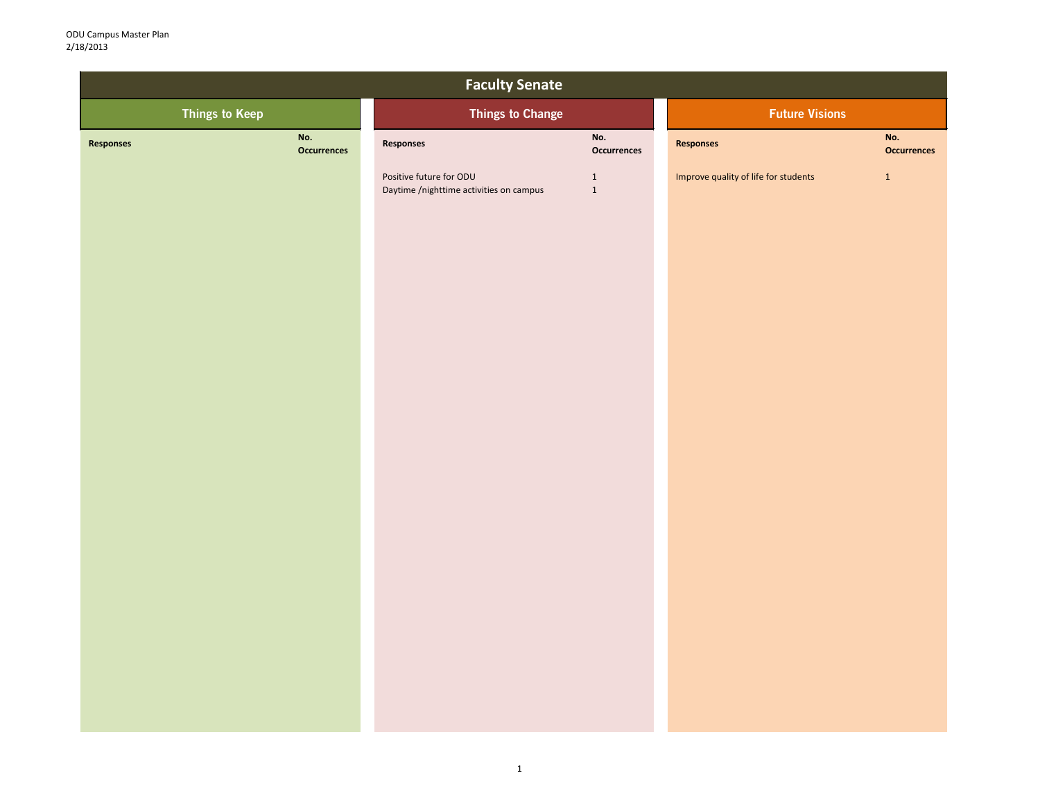**No. Occurrences**

|                                        | <b>Faculty Senate</b>                                              |                              |                                      |                            |
|----------------------------------------|--------------------------------------------------------------------|------------------------------|--------------------------------------|----------------------------|
| <b>Things to Keep</b>                  | <b>Things to Change</b>                                            |                              | <b>Future Visions</b>                |                            |
| No.<br>Responses<br><b>Occurrences</b> | Responses                                                          | No.<br><b>Occurrences</b>    | <b>Responses</b>                     | $\sqrt{2}$<br>$\mathsf{C}$ |
|                                        | Positive future for ODU<br>Daytime /nighttime activities on campus | $\mathbf{1}$<br>$\mathbf{1}$ | Improve quality of life for students | $\mathbf{1}$               |
|                                        |                                                                    |                              |                                      |                            |
|                                        |                                                                    |                              |                                      |                            |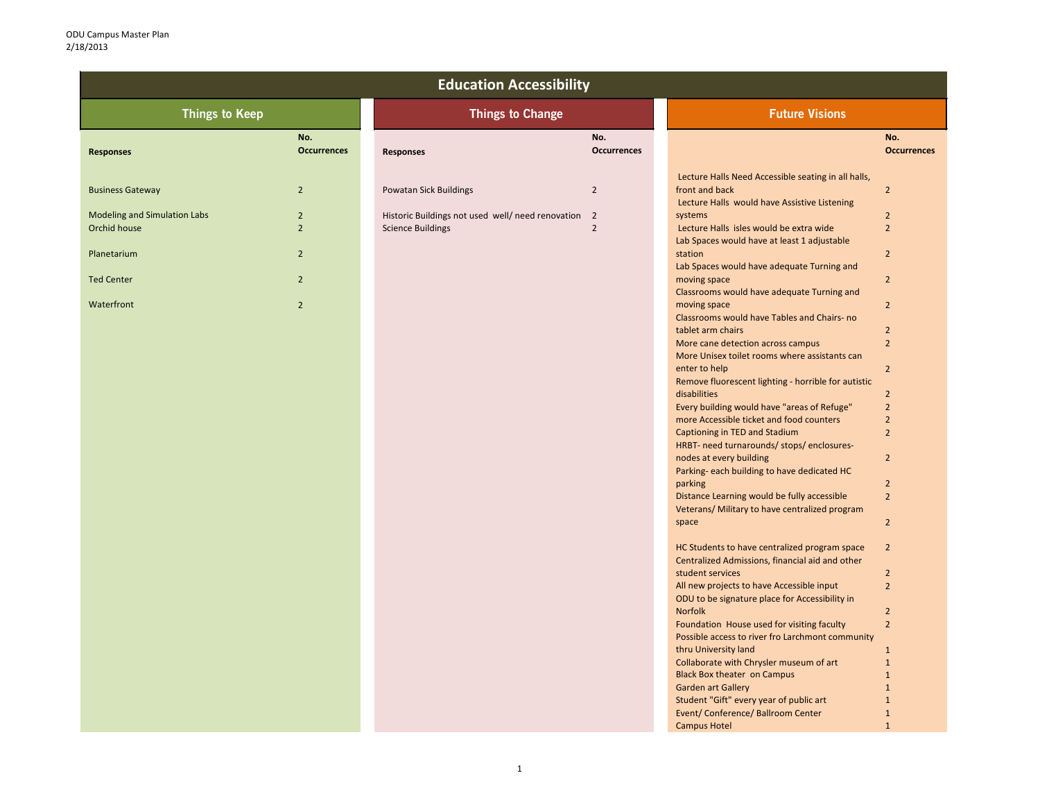| <b>Education Accessibility</b>               |                                  |                                                                                 |                           |                                                                                                                       |                                       |  |
|----------------------------------------------|----------------------------------|---------------------------------------------------------------------------------|---------------------------|-----------------------------------------------------------------------------------------------------------------------|---------------------------------------|--|
| <b>Things to Keep</b>                        |                                  | <b>Things to Change</b>                                                         |                           | <b>Future Visions</b>                                                                                                 |                                       |  |
| <b>Responses</b>                             | No.<br><b>Occurrences</b>        | <b>Responses</b>                                                                | No.<br><b>Occurrences</b> |                                                                                                                       | No.<br><b>Occurrences</b>             |  |
| <b>Business Gateway</b>                      | $\overline{2}$                   | <b>Powatan Sick Buildings</b>                                                   | $\overline{2}$            | Lecture Halls Need Accessible seating in all halls,<br>front and back<br>Lecture Halls would have Assistive Listening | 2                                     |  |
| Modeling and Simulation Labs<br>Orchid house | $\overline{2}$<br>$\overline{2}$ | Historic Buildings not used well/ need renovation 2<br><b>Science Buildings</b> | $\overline{2}$            | systems<br>Lecture Halls isles would be extra wide<br>Lab Spaces would have at least 1 adjustable                     | $\overline{2}$<br>$\overline{2}$      |  |
| Planetarium                                  | $\overline{2}$                   |                                                                                 |                           | station<br>Lab Spaces would have adequate Turning and                                                                 | $\overline{2}$                        |  |
| <b>Ted Center</b><br>Waterfront              | $\overline{2}$<br>$\overline{2}$ |                                                                                 |                           | moving space<br>Classrooms would have adequate Turning and<br>moving space                                            | $\overline{2}$<br>$\overline{2}$      |  |
|                                              |                                  |                                                                                 |                           | Classrooms would have Tables and Chairs- no<br>tablet arm chairs<br>More cane detection across campus                 | $\overline{2}$<br>$\overline{2}$      |  |
|                                              |                                  |                                                                                 |                           | More Unisex toilet rooms where assistants can<br>enter to help<br>Remove fluorescent lighting - horrible for autistic | $\overline{2}$                        |  |
|                                              |                                  |                                                                                 |                           | disabilities<br>Every building would have "areas of Refuge"<br>more Accessible ticket and food counters               | 2<br>$\overline{2}$<br>$\overline{2}$ |  |
|                                              |                                  |                                                                                 |                           | Captioning in TED and Stadium<br>HRBT- need turnarounds/ stops/ enclosures-<br>nodes at every building                | $\overline{2}$<br>2                   |  |
|                                              |                                  |                                                                                 |                           | Parking- each building to have dedicated HC<br>parking<br>Distance Learning would be fully accessible                 | $\overline{2}$<br>$\overline{2}$      |  |
|                                              |                                  |                                                                                 |                           | Veterans/ Military to have centralized program<br>space                                                               | $\overline{2}$                        |  |
|                                              |                                  |                                                                                 |                           | HC Students to have centralized program space<br>Centralized Admissions, financial aid and other                      | $\overline{2}$                        |  |
|                                              |                                  |                                                                                 |                           | student services<br>All new projects to have Accessible input<br>ODU to be signature place for Accessibility in       | $\overline{2}$<br>$\overline{2}$      |  |
|                                              |                                  |                                                                                 |                           | Norfolk<br>Foundation House used for visiting faculty<br>Possible access to river fro Larchmont community             | $\overline{2}$<br>$\overline{2}$      |  |
|                                              |                                  |                                                                                 |                           | thru University land<br>Collaborate with Chrysler museum of art<br><b>Black Box theater on Campus</b>                 |                                       |  |
|                                              |                                  |                                                                                 |                           | <b>Garden art Gallery</b><br>Student "Gift" every year of public art<br>Event/ Conference/ Ballroom Center            |                                       |  |
|                                              |                                  |                                                                                 |                           | <b>Campus Hotel</b>                                                                                                   |                                       |  |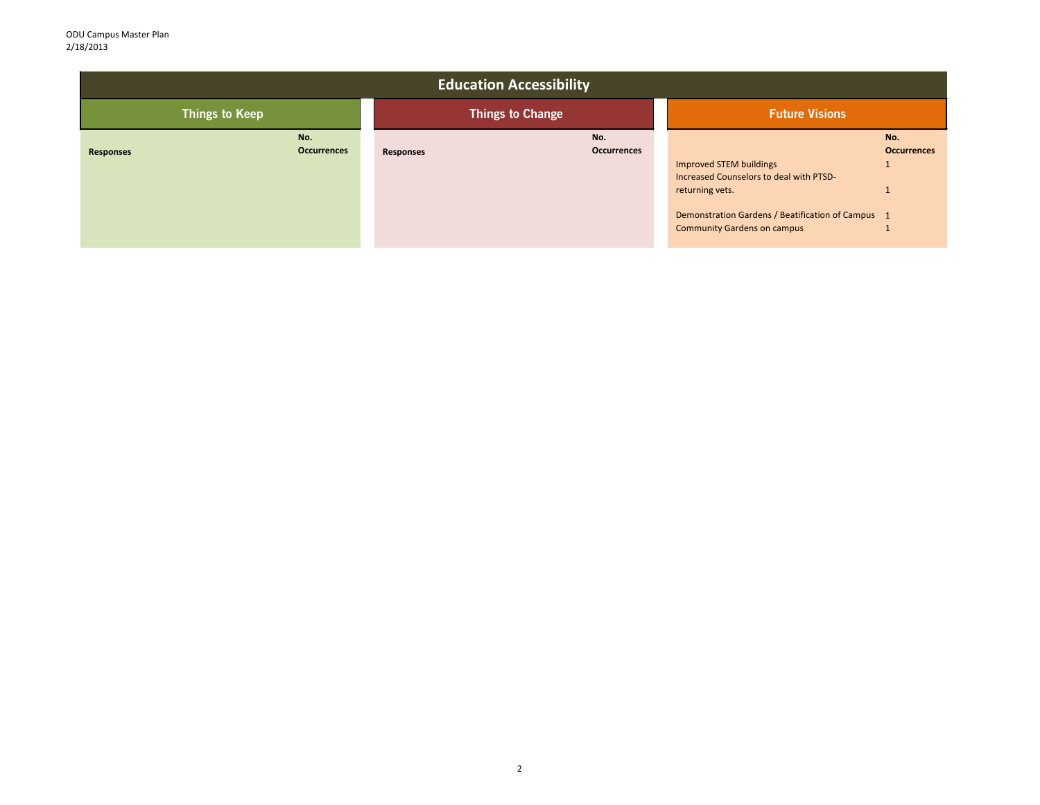# **No. Occurrences** th PTSDfication of Campus 1

| <b>Education Accessibility</b> |                           |                  |                           |                                                                                         |  |  |  |
|--------------------------------|---------------------------|------------------|---------------------------|-----------------------------------------------------------------------------------------|--|--|--|
| <b>Things to Keep</b>          |                           |                  | <b>Things to Change</b>   | <b>Future Visions</b>                                                                   |  |  |  |
| <b>Responses</b>               | No.<br><b>Occurrences</b> | <b>Responses</b> | No.<br><b>Occurrences</b> | Improved STEM buildings                                                                 |  |  |  |
|                                |                           |                  |                           | Increased Counselors to deal with PTSD-<br>returning vets.                              |  |  |  |
|                                |                           |                  |                           | Demonstration Gardens / Beatification of Campus 1<br><b>Community Gardens on campus</b> |  |  |  |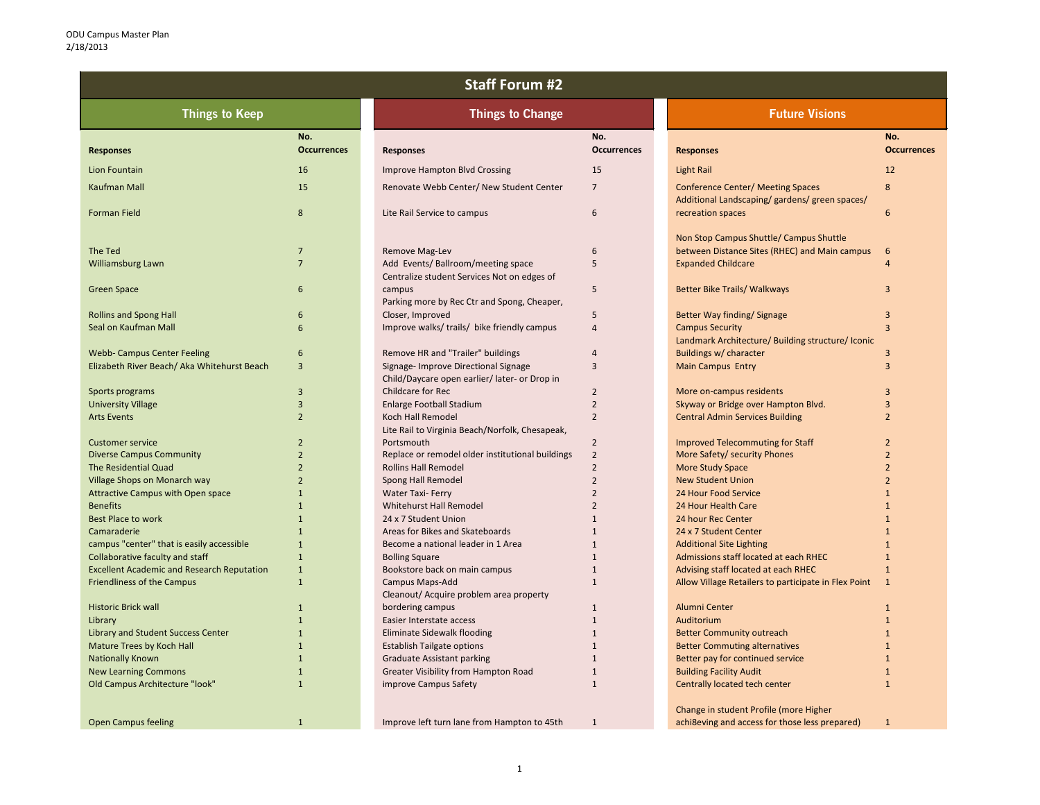| <b>Staff Forum #2</b>                             |                           |                                                                                       |                           |                                                                                          |                           |  |
|---------------------------------------------------|---------------------------|---------------------------------------------------------------------------------------|---------------------------|------------------------------------------------------------------------------------------|---------------------------|--|
| <b>Things to Keep</b>                             |                           | <b>Things to Change</b>                                                               |                           | <b>Future Visions</b>                                                                    |                           |  |
| <b>Responses</b>                                  | No.<br><b>Occurrences</b> | <b>Responses</b>                                                                      | No.<br><b>Occurrences</b> | <b>Responses</b>                                                                         | No.<br><b>Occurrences</b> |  |
| Lion Fountain                                     | 16                        | <b>Improve Hampton Blvd Crossing</b>                                                  | 15                        | Light Rail                                                                               | 12                        |  |
| <b>Kaufman Mall</b>                               | 15                        | Renovate Webb Center/ New Student Center                                              | 7                         | <b>Conference Center/ Meeting Spaces</b>                                                 | 8                         |  |
|                                                   |                           |                                                                                       |                           | Additional Landscaping/ gardens/ green spaces/                                           |                           |  |
| <b>Forman Field</b>                               | 8                         | Lite Rail Service to campus                                                           | 6                         | recreation spaces                                                                        | 6                         |  |
|                                                   |                           |                                                                                       |                           |                                                                                          |                           |  |
| The Ted                                           |                           | Remove Mag-Lev                                                                        | 6                         | Non Stop Campus Shuttle/ Campus Shuttle<br>between Distance Sites (RHEC) and Main campus |                           |  |
|                                                   |                           | Add Events/ Ballroom/meeting space                                                    |                           |                                                                                          | 6                         |  |
| Williamsburg Lawn                                 |                           |                                                                                       | 5.                        | <b>Expanded Childcare</b>                                                                |                           |  |
|                                                   |                           | Centralize student Services Not on edges of                                           |                           |                                                                                          |                           |  |
| <b>Green Space</b>                                | 6                         | campus                                                                                | 5                         | <b>Better Bike Trails/ Walkways</b>                                                      | $\mathbf{3}$              |  |
|                                                   |                           | Parking more by Rec Ctr and Spong, Cheaper,                                           |                           |                                                                                          |                           |  |
| <b>Rollins and Spong Hall</b>                     | 6                         | Closer, Improved                                                                      | 5                         | Better Way finding/ Signage                                                              | 3                         |  |
| Seal on Kaufman Mall                              | 6                         | Improve walks/ trails/ bike friendly campus                                           | 4                         | <b>Campus Security</b>                                                                   |                           |  |
|                                                   |                           |                                                                                       |                           | Landmark Architecture/ Building structure/ Iconic                                        |                           |  |
| <b>Webb- Campus Center Feeling</b>                | 6                         | Remove HR and "Trailer" buildings                                                     | 4                         | Buildings w/ character                                                                   |                           |  |
| Elizabeth River Beach/ Aka Whitehurst Beach       | $\mathbf{3}$              | Signage- Improve Directional Signage<br>Child/Daycare open earlier/ later- or Drop in |                           | <b>Main Campus Entry</b>                                                                 |                           |  |
| Sports programs                                   | 3                         | Childcare for Rec                                                                     | $\overline{2}$            | More on-campus residents                                                                 | 3                         |  |
| <b>University Village</b>                         | 3                         | Enlarge Football Stadium                                                              | $\overline{2}$            | Skyway or Bridge over Hampton Blvd.                                                      |                           |  |
| <b>Arts Events</b>                                | 2                         | <b>Koch Hall Remodel</b>                                                              | $\overline{2}$            | <b>Central Admin Services Building</b>                                                   |                           |  |
|                                                   |                           | Lite Rail to Virginia Beach/Norfolk, Chesapeak,                                       |                           |                                                                                          |                           |  |
| <b>Customer service</b>                           | $\overline{2}$            | Portsmouth                                                                            | $\overline{2}$            | <b>Improved Telecommuting for Staff</b>                                                  | $\overline{2}$            |  |
| <b>Diverse Campus Community</b>                   | 2                         | Replace or remodel older institutional buildings                                      | $\overline{2}$            | More Safety/ security Phones                                                             | $\overline{2}$            |  |
| The Residential Quad                              | 2                         | <b>Rollins Hall Remodel</b>                                                           | $\overline{2}$            | <b>More Study Space</b>                                                                  |                           |  |
| <b>Village Shops on Monarch way</b>               |                           | Spong Hall Remodel                                                                    |                           | <b>New Student Union</b>                                                                 |                           |  |
| Attractive Campus with Open space                 |                           | <b>Water Taxi-Ferry</b>                                                               |                           | 24 Hour Food Service                                                                     |                           |  |
| <b>Benefits</b>                                   |                           | <b>Whitehurst Hall Remodel</b>                                                        |                           | 24 Hour Health Care                                                                      |                           |  |
| <b>Best Place to work</b>                         |                           | 24 x 7 Student Union                                                                  |                           | 24 hour Rec Center                                                                       |                           |  |
| Camaraderie                                       |                           | Areas for Bikes and Skateboards                                                       |                           | 24 x 7 Student Center                                                                    |                           |  |
| campus "center" that is easily accessible         |                           | Become a national leader in 1 Area                                                    |                           | <b>Additional Site Lighting</b>                                                          |                           |  |
| Collaborative faculty and staff                   |                           | <b>Bolling Square</b>                                                                 |                           | Admissions staff located at each RHEC                                                    |                           |  |
| <b>Excellent Academic and Research Reputation</b> |                           | Bookstore back on main campus                                                         |                           | Advising staff located at each RHEC                                                      |                           |  |
| <b>Friendliness of the Campus</b>                 |                           | Campus Maps-Add                                                                       |                           | Allow Village Retailers to participate in Flex Point 1                                   |                           |  |
|                                                   |                           | Cleanout/ Acquire problem area property                                               |                           |                                                                                          |                           |  |
| <b>Historic Brick wall</b>                        |                           | bordering campus                                                                      |                           | Alumni Center                                                                            |                           |  |
| Library                                           |                           | Easier Interstate access                                                              |                           | Auditorium                                                                               |                           |  |
| <b>Library and Student Success Center</b>         |                           | Eliminate Sidewalk flooding                                                           |                           | <b>Better Community outreach</b>                                                         |                           |  |
| Mature Trees by Koch Hall                         |                           | <b>Establish Tailgate options</b>                                                     |                           | <b>Better Commuting alternatives</b>                                                     |                           |  |
| <b>Nationally Known</b>                           |                           | <b>Graduate Assistant parking</b>                                                     |                           | Better pay for continued service                                                         |                           |  |
| <b>New Learning Commons</b>                       |                           | Greater Visibility from Hampton Road                                                  |                           | <b>Building Facility Audit</b>                                                           |                           |  |
| Old Campus Architecture "look"                    |                           | improve Campus Safety                                                                 |                           | Centrally located tech center                                                            |                           |  |
|                                                   |                           |                                                                                       |                           |                                                                                          |                           |  |
|                                                   |                           |                                                                                       |                           | Change in student Profile (more Higher                                                   |                           |  |
| <b>Open Campus feeling</b>                        | $\mathbf{1}$              | Improve left turn lane from Hampton to 45th                                           | $\mathbf{1}$              | achi8eving and access for those less prepared)                                           | $\mathbf{1}$              |  |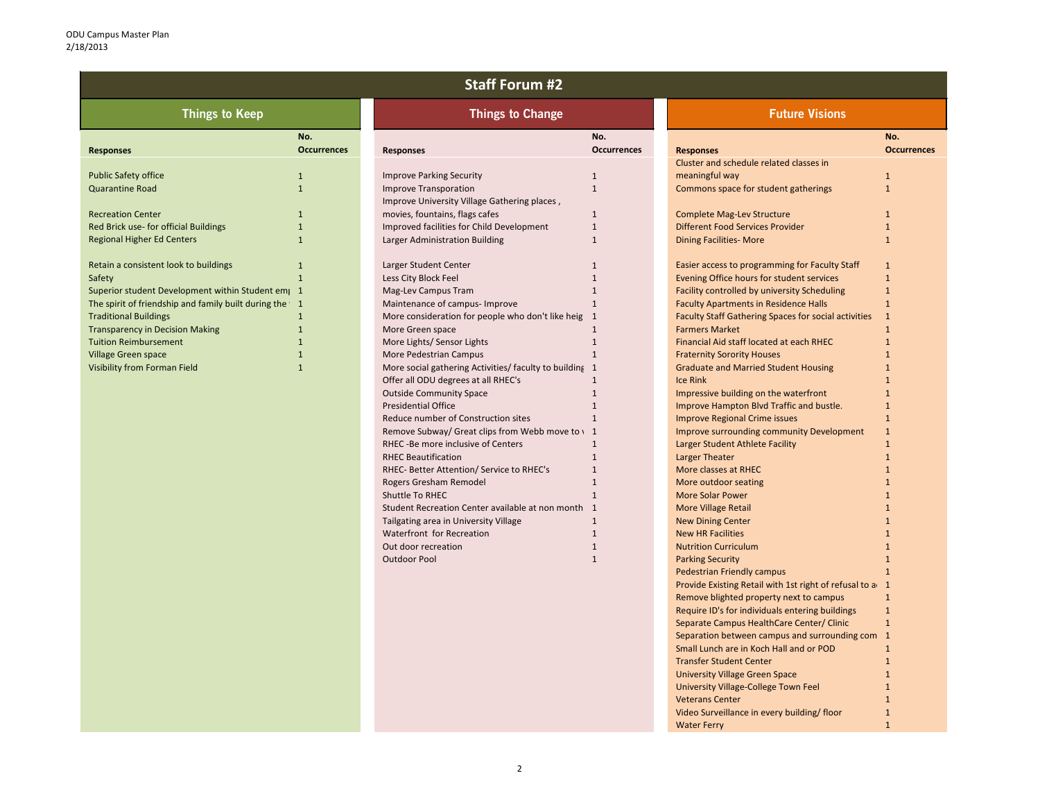2

| <b>Staff Forum #2</b>                                  |                           |                                                                              |                           |                                                           |                           |  |
|--------------------------------------------------------|---------------------------|------------------------------------------------------------------------------|---------------------------|-----------------------------------------------------------|---------------------------|--|
| <b>Things to Keep</b>                                  |                           | <b>Things to Change</b>                                                      |                           | <b>Future Visions</b>                                     |                           |  |
| <b>Responses</b>                                       | No.<br><b>Occurrences</b> | <b>Responses</b>                                                             | No.<br><b>Occurrences</b> | <b>Responses</b>                                          | No.<br><b>Occurrences</b> |  |
| <b>Public Safety office</b>                            |                           | <b>Improve Parking Security</b>                                              |                           | Cluster and schedule related classes in<br>meaningful way | $\mathbf{1}$              |  |
| <b>Quarantine Road</b>                                 |                           | <b>Improve Transporation</b><br>Improve University Village Gathering places, |                           | Commons space for student gatherings                      | $\mathbf 1$               |  |
| <b>Recreation Center</b>                               |                           | movies, fountains, flags cafes                                               |                           | <b>Complete Mag-Lev Structure</b>                         | 1                         |  |
| Red Brick use- for official Buildings                  |                           | Improved facilities for Child Development                                    |                           | <b>Different Food Services Provider</b>                   |                           |  |
| <b>Regional Higher Ed Centers</b>                      |                           | Larger Administration Building                                               |                           | <b>Dining Facilities- More</b>                            |                           |  |
| Retain a consistent look to buildings                  |                           | Larger Student Center                                                        |                           | Easier access to programming for Faculty Staff            | 1                         |  |
| Safety                                                 |                           | Less City Block Feel                                                         |                           | Evening Office hours for student services                 | $\mathbf 1$               |  |
| Superior student Development within Student emp 1      |                           | <b>Mag-Lev Campus Tram</b>                                                   |                           | Facility controlled by university Scheduling              |                           |  |
| The spirit of friendship and family built during the 1 |                           | Maintenance of campus- Improve                                               |                           | <b>Faculty Apartments in Residence Halls</b>              |                           |  |
| <b>Traditional Buildings</b>                           |                           | More consideration for people who don't like heig 1                          |                           | Faculty Staff Gathering Spaces for social activities      |                           |  |
| <b>Transparency in Decision Making</b>                 |                           | More Green space                                                             |                           | <b>Farmers Market</b>                                     |                           |  |
| <b>Tuition Reimbursement</b>                           |                           | More Lights/ Sensor Lights                                                   |                           | Financial Aid staff located at each RHEC                  |                           |  |
| <b>Village Green space</b>                             |                           | More Pedestrian Campus                                                       |                           | <b>Fraternity Sorority Houses</b>                         |                           |  |
| Visibility from Forman Field                           |                           | More social gathering Activities/ faculty to building 1                      |                           | <b>Graduate and Married Student Housing</b>               |                           |  |
|                                                        |                           | Offer all ODU degrees at all RHEC's                                          |                           | Ice Rink                                                  |                           |  |
|                                                        |                           | <b>Outside Community Space</b>                                               |                           | Impressive building on the waterfront                     |                           |  |
|                                                        |                           | <b>Presidential Office</b>                                                   |                           | Improve Hampton Blvd Traffic and bustle.                  |                           |  |
|                                                        |                           | Reduce number of Construction sites                                          |                           | <b>Improve Regional Crime issues</b>                      |                           |  |
|                                                        |                           | Remove Subway/ Great clips from Webb move to \ 1                             |                           | Improve surrounding community Development                 |                           |  |
|                                                        |                           | RHEC-Be more inclusive of Centers                                            |                           | Larger Student Athlete Facility                           |                           |  |
|                                                        |                           | <b>RHEC Beautification</b>                                                   |                           | <b>Larger Theater</b>                                     |                           |  |
|                                                        |                           | RHEC- Better Attention/ Service to RHEC's                                    |                           | More classes at RHEC                                      |                           |  |
|                                                        |                           | Rogers Gresham Remodel                                                       |                           | More outdoor seating                                      |                           |  |
|                                                        |                           | Shuttle To RHEC                                                              |                           | <b>More Solar Power</b>                                   |                           |  |
|                                                        |                           | Student Recreation Center available at non month 1                           |                           | More Village Retail                                       |                           |  |
|                                                        |                           | Tailgating area in University Village                                        |                           | <b>New Dining Center</b>                                  |                           |  |
|                                                        |                           | Waterfront for Recreation                                                    |                           | <b>New HR Facilities</b>                                  |                           |  |
|                                                        |                           | Out door recreation                                                          |                           | <b>Nutrition Curriculum</b>                               |                           |  |
|                                                        |                           | <b>Outdoor Pool</b>                                                          |                           | <b>Parking Security</b>                                   |                           |  |
|                                                        |                           |                                                                              |                           | <b>Pedestrian Friendly campus</b>                         |                           |  |
|                                                        |                           |                                                                              |                           | Provide Existing Retail with 1st right of refusal to a 1  |                           |  |
|                                                        |                           |                                                                              |                           | Remove blighted property next to campus                   |                           |  |
|                                                        |                           |                                                                              |                           | Require ID's for individuals entering buildings           | $\mathbf{1}$              |  |
|                                                        |                           |                                                                              |                           | Separate Campus HealthCare Center/ Clinic                 |                           |  |
|                                                        |                           |                                                                              |                           | Separation between campus and surrounding com 1           |                           |  |
|                                                        |                           |                                                                              |                           | Small Lunch are in Koch Hall and or POD                   |                           |  |
|                                                        |                           |                                                                              |                           | <b>Transfer Student Center</b>                            |                           |  |
|                                                        |                           |                                                                              |                           | <b>University Village Green Space</b>                     |                           |  |
|                                                        |                           |                                                                              |                           | University Village-College Town Feel                      |                           |  |
|                                                        |                           |                                                                              |                           | <b>Veterans Center</b>                                    |                           |  |
|                                                        |                           |                                                                              |                           | Video Surveillance in every building/ floor               |                           |  |
|                                                        |                           |                                                                              |                           | <b>Water Ferry</b>                                        |                           |  |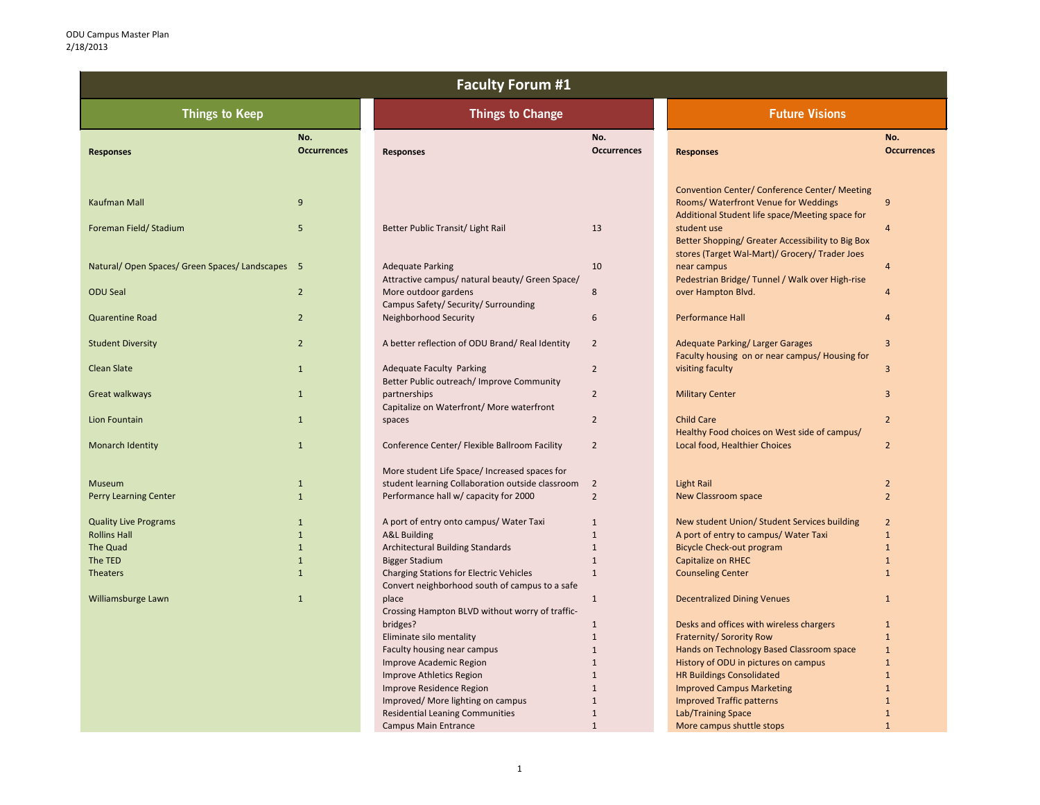| <b>Faculty Forum #1</b>                       |                           |                                                                                                  |                           |                                                                                                                                                 |                           |  |  |
|-----------------------------------------------|---------------------------|--------------------------------------------------------------------------------------------------|---------------------------|-------------------------------------------------------------------------------------------------------------------------------------------------|---------------------------|--|--|
| <b>Things to Keep</b>                         |                           | <b>Things to Change</b>                                                                          |                           | <b>Future Visions</b>                                                                                                                           |                           |  |  |
| <b>Responses</b>                              | No.<br><b>Occurrences</b> | <b>Responses</b>                                                                                 | No.<br><b>Occurrences</b> | <b>Responses</b>                                                                                                                                | No.<br><b>Occurrences</b> |  |  |
| Kaufman Mall                                  | 9                         |                                                                                                  |                           | <b>Convention Center/ Conference Center/ Meeting</b><br>Rooms/ Waterfront Venue for Weddings<br>Additional Student life space/Meeting space for | 9                         |  |  |
| Foreman Field/ Stadium                        | 5                         | Better Public Transit/ Light Rail                                                                | 13                        | student use<br>Better Shopping/ Greater Accessibility to Big Box<br>stores (Target Wal-Mart)/ Grocery/ Trader Joes                              | 4                         |  |  |
| Natural/Open Spaces/Green Spaces/Landscapes 5 |                           | <b>Adequate Parking</b><br>Attractive campus/ natural beauty/ Green Space/                       | 10                        | near campus<br>Pedestrian Bridge/ Tunnel / Walk over High-rise                                                                                  | 4                         |  |  |
| <b>ODU Seal</b>                               | $\overline{2}$            | More outdoor gardens<br>Campus Safety/ Security/ Surrounding                                     | 8                         | over Hampton Blvd.                                                                                                                              |                           |  |  |
| <b>Quarentine Road</b>                        | $\overline{2}$            | <b>Neighborhood Security</b>                                                                     | 6                         | <b>Performance Hall</b>                                                                                                                         |                           |  |  |
| <b>Student Diversity</b>                      | $\overline{2}$            | A better reflection of ODU Brand/Real Identity                                                   | $\overline{2}$            | <b>Adequate Parking/Larger Garages</b>                                                                                                          | $\overline{3}$            |  |  |
| <b>Clean Slate</b>                            | $\mathbf{1}$              | <b>Adequate Faculty Parking</b>                                                                  | $\overline{2}$            | Faculty housing on or near campus/ Housing for<br>visiting faculty                                                                              | 3                         |  |  |
| Great walkways                                | 1                         | Better Public outreach/ Improve Community<br>partnerships                                        | $\overline{2}$            | <b>Military Center</b>                                                                                                                          | 3                         |  |  |
| Lion Fountain                                 | 1                         | Capitalize on Waterfront/ More waterfront<br>spaces                                              | $\overline{2}$            | <b>Child Care</b>                                                                                                                               | $\overline{2}$            |  |  |
| Monarch Identity                              | $\mathbf{1}$              | Conference Center/ Flexible Ballroom Facility                                                    | $\overline{2}$            | Healthy Food choices on West side of campus/<br>Local food, Healthier Choices                                                                   | $\overline{2}$            |  |  |
|                                               |                           | More student Life Space/ Increased spaces for                                                    |                           |                                                                                                                                                 |                           |  |  |
| Museum                                        |                           | student learning Collaboration outside classroom                                                 | <sup>2</sup>              | <b>Light Rail</b>                                                                                                                               | 2                         |  |  |
| <b>Perry Learning Center</b>                  |                           | Performance hall w/ capacity for 2000                                                            |                           | <b>New Classroom space</b>                                                                                                                      | $\overline{2}$            |  |  |
| <b>Quality Live Programs</b>                  |                           | A port of entry onto campus/ Water Taxi                                                          |                           | New student Union/ Student Services building                                                                                                    | $\overline{2}$            |  |  |
| <b>Rollins Hall</b>                           |                           | <b>A&amp;L Building</b>                                                                          |                           | A port of entry to campus/ Water Taxi                                                                                                           |                           |  |  |
| The Quad                                      |                           | <b>Architectural Building Standards</b>                                                          |                           | <b>Bicycle Check-out program</b>                                                                                                                |                           |  |  |
| The TED                                       |                           | <b>Bigger Stadium</b>                                                                            |                           | <b>Capitalize on RHEC</b>                                                                                                                       |                           |  |  |
| <b>Theaters</b>                               |                           | <b>Charging Stations for Electric Vehicles</b><br>Convert neighborhood south of campus to a safe |                           | <b>Counseling Center</b>                                                                                                                        |                           |  |  |
| Williamsburge Lawn                            |                           | place<br>Crossing Hampton BLVD without worry of traffic-                                         |                           | <b>Decentralized Dining Venues</b>                                                                                                              |                           |  |  |
|                                               |                           | bridges?                                                                                         |                           | Desks and offices with wireless chargers                                                                                                        |                           |  |  |
|                                               |                           | Eliminate silo mentality                                                                         |                           | Fraternity/ Sorority Row                                                                                                                        |                           |  |  |
|                                               |                           | Faculty housing near campus                                                                      |                           | Hands on Technology Based Classroom space                                                                                                       |                           |  |  |
|                                               |                           | Improve Academic Region                                                                          |                           | History of ODU in pictures on campus                                                                                                            |                           |  |  |
|                                               |                           | Improve Athletics Region                                                                         |                           | <b>HR Buildings Consolidated</b>                                                                                                                |                           |  |  |
|                                               |                           | Improve Residence Region                                                                         |                           | <b>Improved Campus Marketing</b>                                                                                                                |                           |  |  |
|                                               |                           | Improved/ More lighting on campus                                                                |                           | <b>Improved Traffic patterns</b>                                                                                                                |                           |  |  |
|                                               |                           | <b>Residential Leaning Communities</b>                                                           |                           | Lab/Training Space                                                                                                                              |                           |  |  |
|                                               |                           | <b>Campus Main Entrance</b>                                                                      |                           | More campus shuttle stops                                                                                                                       |                           |  |  |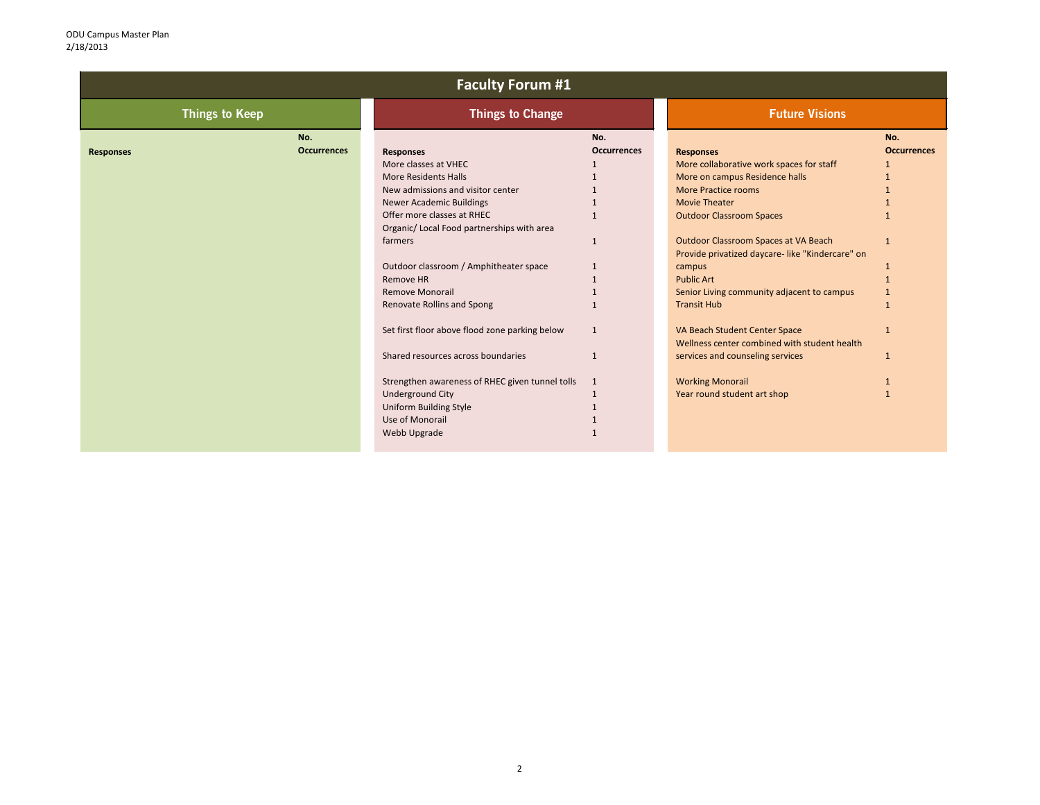| <b>Faculty Forum #1</b> |                           |                                                 |                           |                                                 |                           |  |  |
|-------------------------|---------------------------|-------------------------------------------------|---------------------------|-------------------------------------------------|---------------------------|--|--|
| <b>Things to Keep</b>   |                           | <b>Things to Change</b>                         |                           | <b>Future Visions</b>                           |                           |  |  |
| <b>Responses</b>        | No.<br><b>Occurrences</b> | <b>Responses</b>                                | No.<br><b>Occurrences</b> | <b>Responses</b>                                | No.<br><b>Occurrences</b> |  |  |
|                         |                           | More classes at VHEC                            |                           | More collaborative work spaces for staff        |                           |  |  |
|                         |                           | <b>More Residents Halls</b>                     |                           | More on campus Residence halls                  |                           |  |  |
|                         |                           | New admissions and visitor center               |                           | <b>More Practice rooms</b>                      |                           |  |  |
|                         |                           | <b>Newer Academic Buildings</b>                 |                           | <b>Movie Theater</b>                            |                           |  |  |
|                         |                           | Offer more classes at RHEC                      |                           | <b>Outdoor Classroom Spaces</b>                 |                           |  |  |
|                         |                           | Organic/ Local Food partnerships with area      |                           |                                                 |                           |  |  |
|                         |                           | farmers                                         | $\mathbf{1}$              | <b>Outdoor Classroom Spaces at VA Beach</b>     |                           |  |  |
|                         |                           |                                                 |                           | Provide privatized daycare-like "Kindercare" on |                           |  |  |
|                         |                           | Outdoor classroom / Amphitheater space          |                           | campus                                          |                           |  |  |
|                         |                           | <b>Remove HR</b>                                |                           | <b>Public Art</b>                               |                           |  |  |
|                         |                           | <b>Remove Monorail</b>                          |                           | Senior Living community adjacent to campus      |                           |  |  |
|                         |                           | Renovate Rollins and Spong                      | $\mathbf{1}$              | <b>Transit Hub</b>                              |                           |  |  |
|                         |                           |                                                 |                           |                                                 |                           |  |  |
|                         |                           | Set first floor above flood zone parking below  | $\mathbf{1}$              | VA Beach Student Center Space                   |                           |  |  |
|                         |                           |                                                 |                           | Wellness center combined with student health    |                           |  |  |
|                         |                           | Shared resources across boundaries              | $\overline{1}$            | services and counseling services                |                           |  |  |
|                         |                           |                                                 |                           |                                                 |                           |  |  |
|                         |                           | Strengthen awareness of RHEC given tunnel tolls | <sup>1</sup>              | <b>Working Monorail</b>                         |                           |  |  |
|                         |                           | <b>Underground City</b>                         |                           | Year round student art shop                     |                           |  |  |
|                         |                           | <b>Uniform Building Style</b>                   |                           |                                                 |                           |  |  |
|                         |                           | Use of Monorail                                 |                           |                                                 |                           |  |  |
|                         |                           | Webb Upgrade                                    |                           |                                                 |                           |  |  |
|                         |                           |                                                 |                           |                                                 |                           |  |  |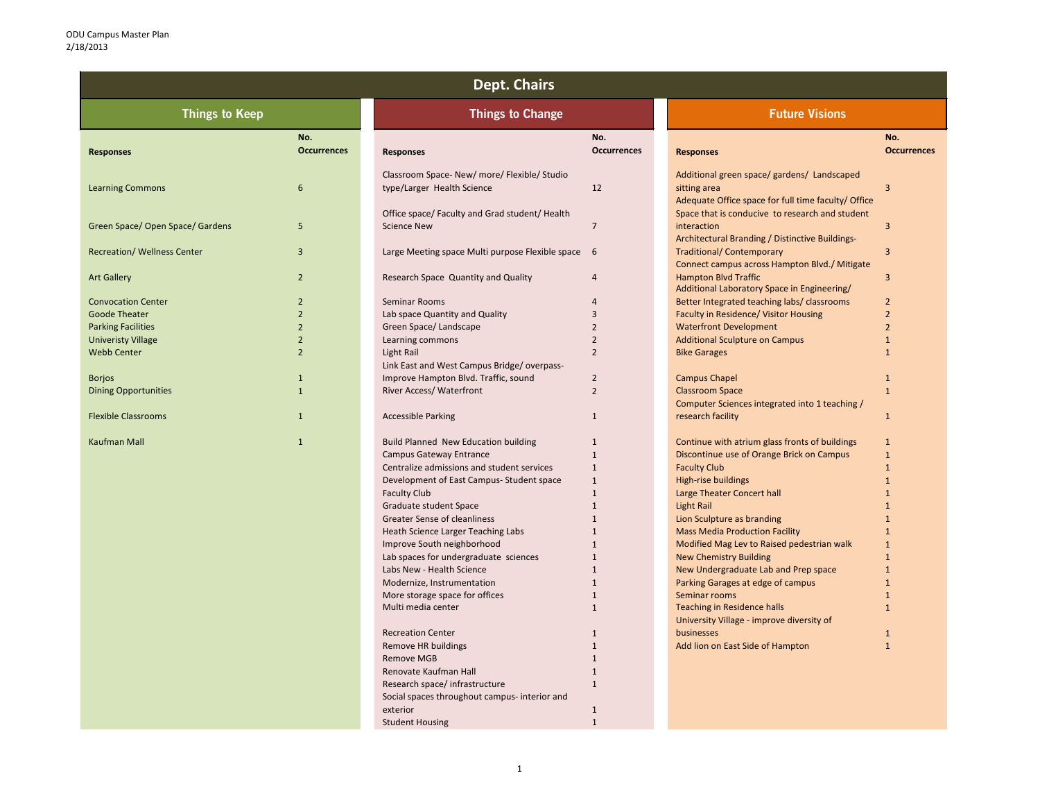| <b>Dept. Chairs</b>                               |                           |                                                                                                                              |                           |                                                                                                                                                                      |                                  |  |
|---------------------------------------------------|---------------------------|------------------------------------------------------------------------------------------------------------------------------|---------------------------|----------------------------------------------------------------------------------------------------------------------------------------------------------------------|----------------------------------|--|
| <b>Things to Keep</b>                             |                           | <b>Things to Change</b>                                                                                                      |                           | <b>Future Visions</b>                                                                                                                                                |                                  |  |
| <b>Responses</b>                                  | No.<br><b>Occurrences</b> | <b>Responses</b>                                                                                                             | No.<br><b>Occurrences</b> | <b>Responses</b>                                                                                                                                                     | No.<br><b>Occurrences</b>        |  |
| <b>Learning Commons</b>                           | 6                         | Classroom Space- New/ more/ Flexible/ Studio<br>type/Larger Health Science<br>Office space/ Faculty and Grad student/ Health | 12                        | Additional green space/gardens/ Landscaped<br>sitting area<br>Adequate Office space for full time faculty/ Office<br>Space that is conducive to research and student | 3                                |  |
| Green Space/ Open Space/ Gardens                  | $5\phantom{.}$            | <b>Science New</b>                                                                                                           | 7                         | interaction<br>Architectural Branding / Distinctive Buildings-                                                                                                       | 3                                |  |
| <b>Recreation/ Wellness Center</b>                | $\overline{3}$            | Large Meeting space Multi purpose Flexible space 6                                                                           |                           | <b>Traditional/ Contemporary</b><br>Connect campus across Hampton Blvd./ Mitigate                                                                                    | 3                                |  |
| <b>Art Gallery</b>                                | $\overline{2}$            | Research Space Quantity and Quality                                                                                          | 4                         | <b>Hampton Blvd Traffic</b><br>Additional Laboratory Space in Engineering/                                                                                           | 3                                |  |
| <b>Convocation Center</b><br><b>Goode Theater</b> | $\overline{2}$            | <b>Seminar Rooms</b><br>Lab space Quantity and Quality                                                                       |                           | Better Integrated teaching labs/ classrooms<br>Faculty in Residence/ Visitor Housing                                                                                 | $\overline{2}$<br>$\overline{2}$ |  |
| <b>Parking Facilities</b>                         |                           | Green Space/ Landscape                                                                                                       | 2                         | <b>Waterfront Development</b>                                                                                                                                        | $\overline{2}$                   |  |
| <b>Univeristy Village</b>                         |                           | Learning commons                                                                                                             | 2                         | <b>Additional Sculpture on Campus</b>                                                                                                                                |                                  |  |
| <b>Webb Center</b>                                |                           | Light Rail                                                                                                                   | $\overline{2}$            | <b>Bike Garages</b>                                                                                                                                                  |                                  |  |
|                                                   |                           | Link East and West Campus Bridge/overpass-                                                                                   |                           |                                                                                                                                                                      |                                  |  |
| <b>Borjos</b>                                     | $\mathbf{1}$              | Improve Hampton Blvd. Traffic, sound                                                                                         | $\overline{2}$            | <b>Campus Chapel</b>                                                                                                                                                 |                                  |  |
| <b>Dining Opportunities</b>                       | $\mathbf{1}$              | River Access/ Waterfront                                                                                                     | $\overline{2}$            | <b>Classroom Space</b><br>Computer Sciences integrated into 1 teaching /                                                                                             |                                  |  |
| <b>Flexible Classrooms</b>                        | $\mathbf{1}$              | <b>Accessible Parking</b>                                                                                                    | 1                         | research facility                                                                                                                                                    |                                  |  |
| <b>Kaufman Mall</b>                               | $\mathbf{1}$              | <b>Build Planned New Education building</b>                                                                                  | $\mathbf{1}$              | Continue with atrium glass fronts of buildings                                                                                                                       | 1                                |  |
|                                                   |                           | <b>Campus Gateway Entrance</b>                                                                                               |                           | Discontinue use of Orange Brick on Campus                                                                                                                            |                                  |  |
|                                                   |                           | Centralize admissions and student services                                                                                   | $\mathbf{1}$              | <b>Faculty Club</b>                                                                                                                                                  |                                  |  |
|                                                   |                           | Development of East Campus-Student space                                                                                     |                           | High-rise buildings                                                                                                                                                  |                                  |  |
|                                                   |                           | <b>Faculty Club</b>                                                                                                          |                           | Large Theater Concert hall                                                                                                                                           |                                  |  |
|                                                   |                           | Graduate student Space                                                                                                       |                           | <b>Light Rail</b>                                                                                                                                                    |                                  |  |
|                                                   |                           | <b>Greater Sense of cleanliness</b>                                                                                          |                           | Lion Sculpture as branding                                                                                                                                           |                                  |  |
|                                                   |                           | Heath Science Larger Teaching Labs                                                                                           |                           | <b>Mass Media Production Facility</b>                                                                                                                                |                                  |  |
|                                                   |                           | Improve South neighborhood                                                                                                   |                           | Modified Mag Lev to Raised pedestrian walk                                                                                                                           |                                  |  |
|                                                   |                           | Lab spaces for undergraduate sciences<br>Labs New - Health Science                                                           |                           | <b>New Chemistry Building</b><br>New Undergraduate Lab and Prep space                                                                                                |                                  |  |
|                                                   |                           | Modernize, Instrumentation                                                                                                   |                           | Parking Garages at edge of campus                                                                                                                                    |                                  |  |
|                                                   |                           | More storage space for offices                                                                                               |                           | Seminar rooms                                                                                                                                                        |                                  |  |
|                                                   |                           | Multi media center                                                                                                           |                           | Teaching in Residence halls                                                                                                                                          |                                  |  |
|                                                   |                           |                                                                                                                              |                           | University Village - improve diversity of                                                                                                                            |                                  |  |
|                                                   |                           | <b>Recreation Center</b>                                                                                                     |                           | businesses                                                                                                                                                           |                                  |  |
|                                                   |                           | Remove HR buildings                                                                                                          |                           | Add lion on East Side of Hampton                                                                                                                                     |                                  |  |
|                                                   |                           | <b>Remove MGB</b>                                                                                                            |                           |                                                                                                                                                                      |                                  |  |
|                                                   |                           | Renovate Kaufman Hall                                                                                                        |                           |                                                                                                                                                                      |                                  |  |
|                                                   |                           | Research space/ infrastructure                                                                                               |                           |                                                                                                                                                                      |                                  |  |
|                                                   |                           | Social spaces throughout campus- interior and                                                                                |                           |                                                                                                                                                                      |                                  |  |
|                                                   |                           | exterior                                                                                                                     |                           |                                                                                                                                                                      |                                  |  |
|                                                   |                           | <b>Student Housing</b>                                                                                                       |                           |                                                                                                                                                                      |                                  |  |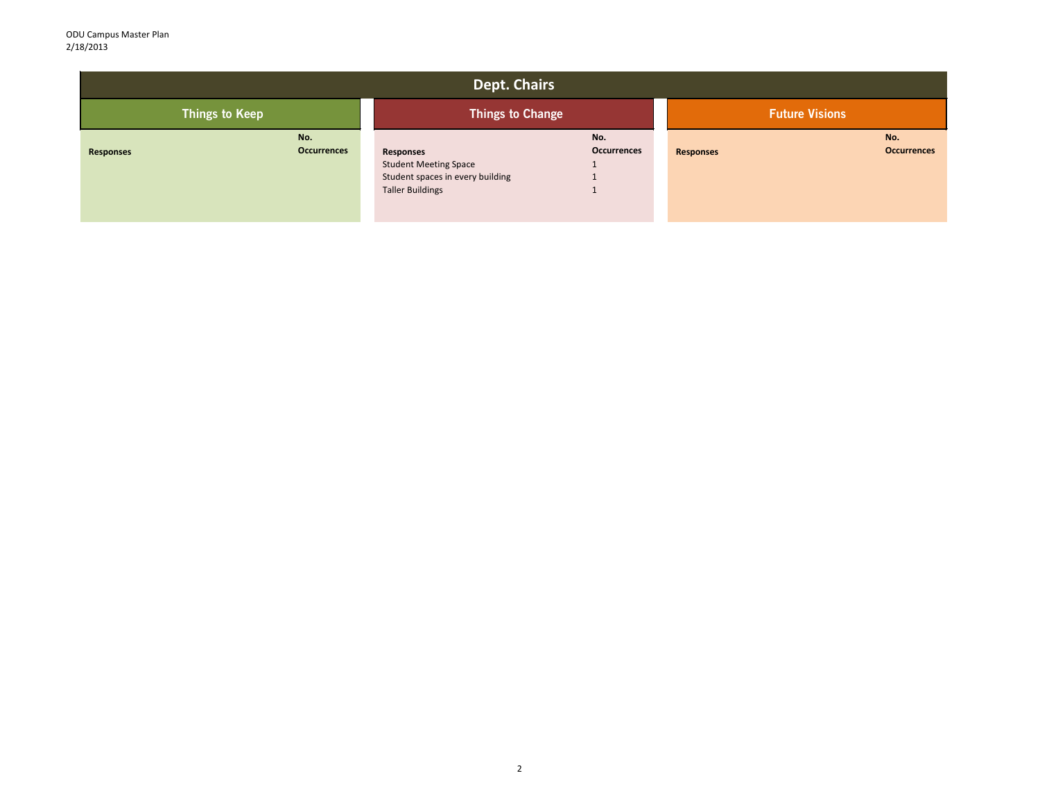**No. Occurrences**

|                       |                           | <b>Dept. Chairs</b>                                                                         |                           |                  |                       |
|-----------------------|---------------------------|---------------------------------------------------------------------------------------------|---------------------------|------------------|-----------------------|
| <b>Things to Keep</b> |                           | <b>Things to Change</b>                                                                     |                           |                  | <b>Future Visions</b> |
| <b>Responses</b>      | No.<br><b>Occurrences</b> | <b>Responses</b>                                                                            | No.<br><b>Occurrences</b> | <b>Responses</b> |                       |
|                       |                           | <b>Student Meeting Space</b><br>Student spaces in every building<br><b>Taller Buildings</b> |                           |                  |                       |
|                       |                           |                                                                                             |                           |                  |                       |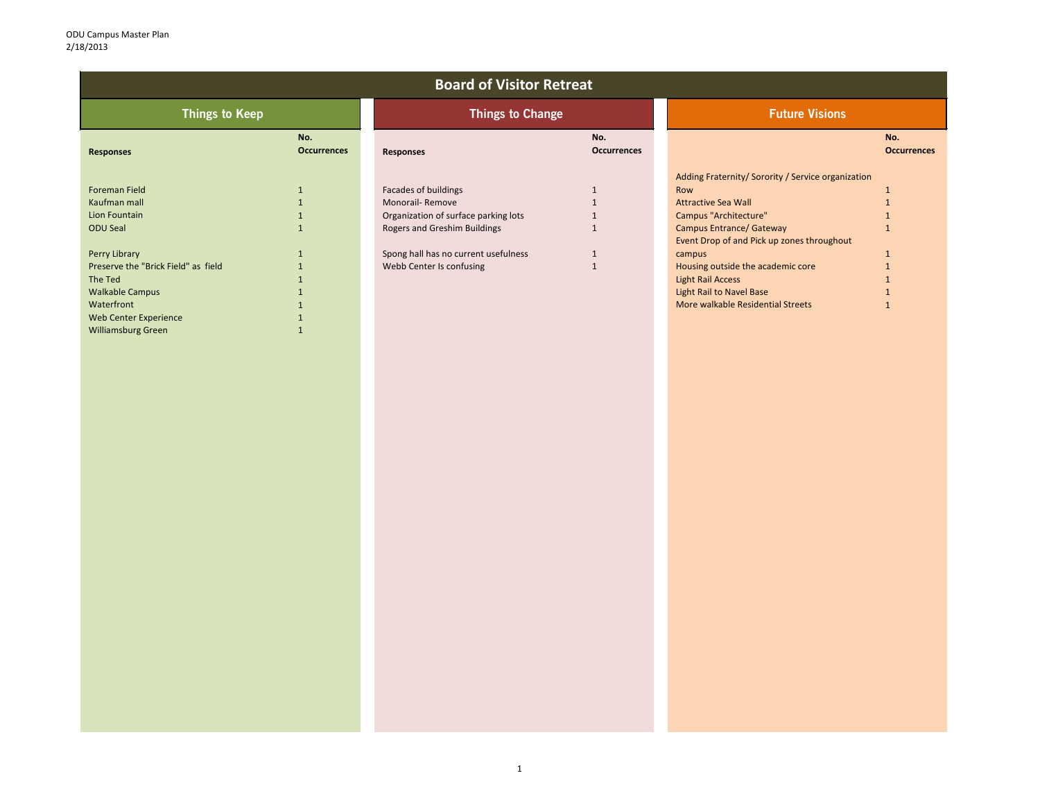| No.                |
|--------------------|
| <b>Occurrences</b> |

| <b>Board of Visitor Retreat</b>     |                           |                                      |                           |                                                           |                 |  |  |
|-------------------------------------|---------------------------|--------------------------------------|---------------------------|-----------------------------------------------------------|-----------------|--|--|
| <b>Things to Keep</b>               |                           | <b>Things to Change</b>              |                           | <b>Future Visions</b>                                     |                 |  |  |
| <b>Responses</b>                    | No.<br><b>Occurrences</b> | <b>Responses</b>                     | No.<br><b>Occurrences</b> |                                                           | No.<br>Occurrer |  |  |
| <b>Foreman Field</b>                | $\mathbf{1}$              | Facades of buildings                 | $\mathbf{1}$              | Adding Fraternity/ Sorority / Service organization<br>Row |                 |  |  |
| Kaufman mall                        | $\mathbf{1}$              | Monorail-Remove                      | $\mathbf{1}$              | <b>Attractive Sea Wall</b>                                |                 |  |  |
| Lion Fountain                       | $\mathbf{1}$              | Organization of surface parking lots | $\mathbf{1}$              | Campus "Architecture"                                     | $\mathbf{1}$    |  |  |
| <b>ODU Seal</b>                     | $\mathbf{1}$              | <b>Rogers and Greshim Buildings</b>  | $\mathbf{1}$              | <b>Campus Entrance/ Gateway</b>                           | $\mathbf{1}$    |  |  |
|                                     |                           |                                      |                           | Event Drop of and Pick up zones throughout                |                 |  |  |
| Perry Library                       | $\mathbf{1}$              | Spong hall has no current usefulness | $\mathbf{1}$              | campus                                                    |                 |  |  |
| Preserve the "Brick Field" as field | $\mathbf{1}$              | Webb Center Is confusing             | $\mathbf{1}$              | Housing outside the academic core                         | $\mathbf 1$     |  |  |
| The Ted                             | $\mathbf{1}$              |                                      |                           | <b>Light Rail Access</b>                                  | $\mathbf{1}$    |  |  |
| <b>Walkable Campus</b>              | $\mathbf{1}$              |                                      |                           | Light Rail to Navel Base                                  | $\mathbf{1}$    |  |  |
| Waterfront                          | $\mathbf{1}$              |                                      |                           | More walkable Residential Streets                         | $\mathbf{1}$    |  |  |
| <b>Web Center Experience</b>        | $\mathbf{1}$              |                                      |                           |                                                           |                 |  |  |
| <b>Williamsburg Green</b>           | $\mathbf{1}$              |                                      |                           |                                                           |                 |  |  |
|                                     |                           |                                      |                           |                                                           |                 |  |  |
|                                     |                           |                                      |                           |                                                           |                 |  |  |
|                                     |                           |                                      |                           |                                                           |                 |  |  |
|                                     |                           |                                      |                           |                                                           |                 |  |  |
|                                     |                           |                                      |                           |                                                           |                 |  |  |
|                                     |                           |                                      |                           |                                                           |                 |  |  |
|                                     |                           |                                      |                           |                                                           |                 |  |  |
|                                     |                           |                                      |                           |                                                           |                 |  |  |
|                                     |                           |                                      |                           |                                                           |                 |  |  |
|                                     |                           |                                      |                           |                                                           |                 |  |  |
|                                     |                           |                                      |                           |                                                           |                 |  |  |
|                                     |                           |                                      |                           |                                                           |                 |  |  |
|                                     |                           |                                      |                           |                                                           |                 |  |  |
|                                     |                           |                                      |                           |                                                           |                 |  |  |
|                                     |                           |                                      |                           |                                                           |                 |  |  |
|                                     |                           |                                      |                           |                                                           |                 |  |  |
|                                     |                           |                                      |                           |                                                           |                 |  |  |
|                                     |                           |                                      |                           |                                                           |                 |  |  |
|                                     |                           |                                      |                           |                                                           |                 |  |  |
|                                     |                           |                                      |                           |                                                           |                 |  |  |
|                                     |                           |                                      |                           |                                                           |                 |  |  |
|                                     |                           |                                      |                           |                                                           |                 |  |  |
|                                     |                           |                                      |                           |                                                           |                 |  |  |
|                                     |                           |                                      |                           |                                                           |                 |  |  |
|                                     |                           |                                      |                           |                                                           |                 |  |  |
|                                     |                           |                                      |                           |                                                           |                 |  |  |
|                                     |                           |                                      |                           |                                                           |                 |  |  |
|                                     |                           |                                      |                           |                                                           |                 |  |  |
|                                     |                           |                                      |                           |                                                           |                 |  |  |
|                                     |                           |                                      |                           |                                                           |                 |  |  |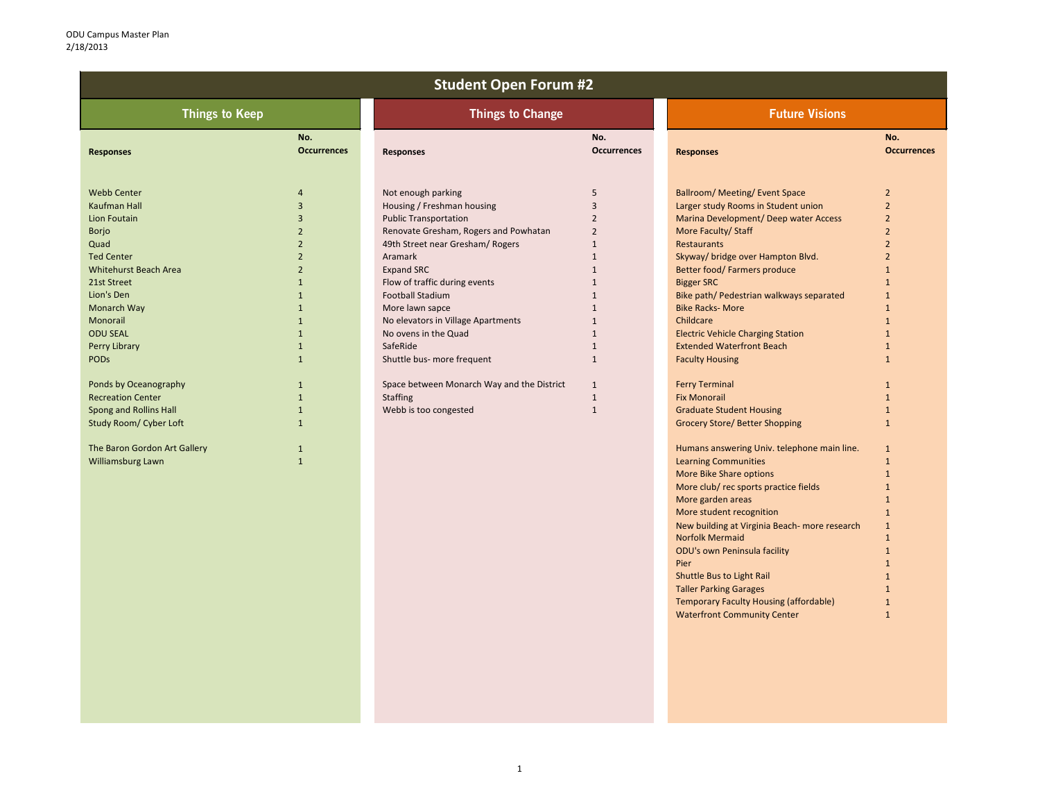| <b>Things to Keep</b>         |                           | <b>Things to Change</b>                    |                           | <b>Future Visions</b>                         |                           |
|-------------------------------|---------------------------|--------------------------------------------|---------------------------|-----------------------------------------------|---------------------------|
| <b>Responses</b>              | No.<br><b>Occurrences</b> | <b>Responses</b>                           | No.<br><b>Occurrences</b> | <b>Responses</b>                              | No.<br><b>Occurrences</b> |
| <b>Webb Center</b>            | $\overline{A}$            | Not enough parking                         | 5 <sub>o</sub>            | <b>Ballroom/ Meeting/ Event Space</b>         | $\overline{2}$            |
| <b>Kaufman Hall</b>           | $\overline{3}$            | Housing / Freshman housing                 | 3                         | Larger study Rooms in Student union           | 2                         |
| Lion Foutain                  | 3                         | <b>Public Transportation</b>               | 2                         | Marina Development/ Deep water Access         | 2                         |
| Borjo                         | $\overline{2}$            | Renovate Gresham, Rogers and Powhatan      | 2                         | More Faculty/ Staff                           |                           |
| Quad                          | 2                         | 49th Street near Gresham/Rogers            |                           | Restaurants                                   |                           |
| <b>Ted Center</b>             | $\overline{2}$            | Aramark                                    |                           | Skyway/ bridge over Hampton Blvd.             | $\overline{2}$            |
| <b>Whitehurst Beach Area</b>  | $\overline{2}$            | <b>Expand SRC</b>                          |                           | <b>Better food/ Farmers produce</b>           |                           |
| 21st Street                   |                           | Flow of traffic during events              |                           | <b>Bigger SRC</b>                             |                           |
| Lion's Den                    |                           | <b>Football Stadium</b>                    |                           | Bike path/ Pedestrian walkways separated      |                           |
| Monarch Way                   |                           | More lawn sapce                            |                           | <b>Bike Racks- More</b>                       |                           |
| Monorail                      |                           | No elevators in Village Apartments         |                           | Childcare                                     |                           |
| <b>ODU SEAL</b>               |                           | No ovens in the Quad                       |                           | <b>Electric Vehicle Charging Station</b>      |                           |
| Perry Library                 |                           | SafeRide                                   |                           | <b>Extended Waterfront Beach</b>              |                           |
| <b>PODS</b>                   | $\mathbf{1}$              |                                            | $\mathbf{1}$              |                                               |                           |
|                               |                           | Shuttle bus- more frequent                 |                           | <b>Faculty Housing</b>                        |                           |
| Ponds by Oceanography         | $\mathbf{1}$              | Space between Monarch Way and the District | $\mathbf{1}$              | <b>Ferry Terminal</b>                         |                           |
| <b>Recreation Center</b>      | $\mathbf{1}$              | <b>Staffing</b>                            | $\mathbf{1}$              | <b>Fix Monorail</b>                           |                           |
| Spong and Rollins Hall        | $\mathbf{1}$              | Webb is too congested                      | $\mathbf 1$               | <b>Graduate Student Housing</b>               |                           |
| <b>Study Room/ Cyber Loft</b> | $\mathbf{1}$              |                                            |                           | <b>Grocery Store/ Better Shopping</b>         | $\mathbf 1$               |
| The Baron Gordon Art Gallery  |                           |                                            |                           | Humans answering Univ. telephone main line.   | 1                         |
| <b>Williamsburg Lawn</b>      |                           |                                            |                           | <b>Learning Communities</b>                   | 1                         |
|                               |                           |                                            |                           | More Bike Share options                       |                           |
|                               |                           |                                            |                           | More club/ rec sports practice fields         |                           |
|                               |                           |                                            |                           | More garden areas                             |                           |
|                               |                           |                                            |                           | More student recognition                      |                           |
|                               |                           |                                            |                           | New building at Virginia Beach- more research |                           |
|                               |                           |                                            |                           | <b>Norfolk Mermaid</b>                        |                           |
|                               |                           |                                            |                           | ODU's own Peninsula facility                  |                           |
|                               |                           |                                            |                           | Pier                                          |                           |
|                               |                           |                                            |                           | Shuttle Bus to Light Rail                     |                           |
|                               |                           |                                            |                           | <b>Taller Parking Garages</b>                 |                           |
|                               |                           |                                            |                           | Temporary Faculty Housing (affordable)        |                           |
|                               |                           |                                            |                           | <b>Waterfront Community Center</b>            |                           |
|                               |                           |                                            |                           |                                               |                           |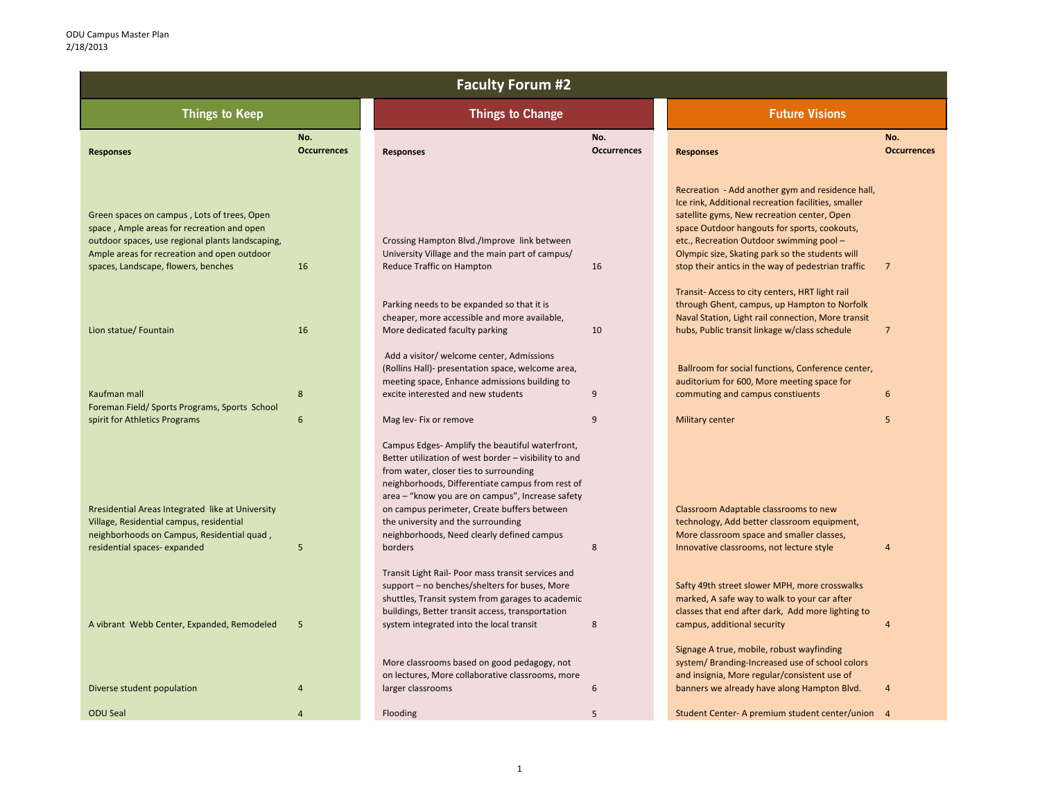| No.                |  |
|--------------------|--|
| <b>Occurrences</b> |  |

| nd residence hall,         |   |  |
|----------------------------|---|--|
| cilities, smaller          |   |  |
| enter, Open                |   |  |
| rts, cookouts,             |   |  |
| $\frac{1}{2}$ ing pool $-$ |   |  |
| students will              |   |  |
| edestrian traffic          | 7 |  |
|                            |   |  |
| RT light rail              |   |  |
| <b>pton to Norfolk</b>     |   |  |
| on, More transit           |   |  |
| ass schedule               | 7 |  |
|                            |   |  |
|                            |   |  |
| onference center,          |   |  |
| ng space for               |   |  |
| ents                       | 6 |  |
|                            |   |  |
|                            | 5 |  |
|                            |   |  |
|                            |   |  |
|                            |   |  |
|                            |   |  |
|                            |   |  |

| <b>Things to Keep</b><br><b>Things to Change</b><br><b>Future Visions</b><br>No.<br>No.<br>No.<br><b>Occurrences</b><br><b>Occurrences</b><br><b>Occurre</b><br><b>Responses</b><br><b>Responses</b><br>Recreation - Add another gym and residence hall,<br>Ice rink, Additional recreation facilities, smaller<br>satellite gyms, New recreation center, Open<br>space Outdoor hangouts for sports, cookouts,<br>Crossing Hampton Blvd./Improve link between<br>etc., Recreation Outdoor swimming pool -<br>University Village and the main part of campus/<br>Olympic size, Skating park so the students will<br>16<br>Reduce Traffic on Hampton<br>stop their antics in the way of pedestrian traffic<br>16<br>7<br>Transit- Access to city centers, HRT light rail<br>Parking needs to be expanded so that it is<br>through Ghent, campus, up Hampton to Norfolk<br>cheaper, more accessible and more available,<br>Naval Station, Light rail connection, More transit<br>More dedicated faculty parking<br>hubs, Public transit linkage w/class schedule<br>16<br>10<br>7<br>Add a visitor/ welcome center, Admissions<br>(Rollins Hall)- presentation space, welcome area,<br>Ballroom for social functions, Conference center,<br>meeting space, Enhance admissions building to<br>auditorium for 600, More meeting space for<br>8<br>excite interested and new students<br>commuting and campus constiuents<br>$6\phantom{1}6$<br>9<br>spirit for Athletics Programs<br>Mag lev- Fix or remove<br><b>Military center</b><br>6<br>9<br>5<br>Campus Edges-Amplify the beautiful waterfront,<br>Better utilization of west border - visibility to and<br>from water, closer ties to surrounding<br>neighborhoods, Differentiate campus from rest of<br>area - "know you are on campus", Increase safety<br>on campus perimeter, Create buffers between<br>Classroom Adaptable classrooms to new<br>the university and the surrounding<br>technology, Add better classroom equipment,<br>neighborhoods, Need clearly defined campus<br>More classroom space and smaller classes,<br>Innovative classrooms, not lecture style<br>borders<br>5<br>8 | <b>Faculty Forum #2</b>                                                                                                                                                                                                             |  |  |  |  |  |  |  |
|-------------------------------------------------------------------------------------------------------------------------------------------------------------------------------------------------------------------------------------------------------------------------------------------------------------------------------------------------------------------------------------------------------------------------------------------------------------------------------------------------------------------------------------------------------------------------------------------------------------------------------------------------------------------------------------------------------------------------------------------------------------------------------------------------------------------------------------------------------------------------------------------------------------------------------------------------------------------------------------------------------------------------------------------------------------------------------------------------------------------------------------------------------------------------------------------------------------------------------------------------------------------------------------------------------------------------------------------------------------------------------------------------------------------------------------------------------------------------------------------------------------------------------------------------------------------------------------------------------------------------------------------------------------------------------------------------------------------------------------------------------------------------------------------------------------------------------------------------------------------------------------------------------------------------------------------------------------------------------------------------------------------------------------------------------------------------------------------------------------------------------------------------------|-------------------------------------------------------------------------------------------------------------------------------------------------------------------------------------------------------------------------------------|--|--|--|--|--|--|--|
|                                                                                                                                                                                                                                                                                                                                                                                                                                                                                                                                                                                                                                                                                                                                                                                                                                                                                                                                                                                                                                                                                                                                                                                                                                                                                                                                                                                                                                                                                                                                                                                                                                                                                                                                                                                                                                                                                                                                                                                                                                                                                                                                                       |                                                                                                                                                                                                                                     |  |  |  |  |  |  |  |
|                                                                                                                                                                                                                                                                                                                                                                                                                                                                                                                                                                                                                                                                                                                                                                                                                                                                                                                                                                                                                                                                                                                                                                                                                                                                                                                                                                                                                                                                                                                                                                                                                                                                                                                                                                                                                                                                                                                                                                                                                                                                                                                                                       | <b>Responses</b>                                                                                                                                                                                                                    |  |  |  |  |  |  |  |
|                                                                                                                                                                                                                                                                                                                                                                                                                                                                                                                                                                                                                                                                                                                                                                                                                                                                                                                                                                                                                                                                                                                                                                                                                                                                                                                                                                                                                                                                                                                                                                                                                                                                                                                                                                                                                                                                                                                                                                                                                                                                                                                                                       | Green spaces on campus, Lots of trees, Open<br>space, Ample areas for recreation and open<br>outdoor spaces, use regional plants landscaping,<br>Ample areas for recreation and open outdoor<br>spaces, Landscape, flowers, benches |  |  |  |  |  |  |  |
|                                                                                                                                                                                                                                                                                                                                                                                                                                                                                                                                                                                                                                                                                                                                                                                                                                                                                                                                                                                                                                                                                                                                                                                                                                                                                                                                                                                                                                                                                                                                                                                                                                                                                                                                                                                                                                                                                                                                                                                                                                                                                                                                                       | Lion statue/ Fountain                                                                                                                                                                                                               |  |  |  |  |  |  |  |
|                                                                                                                                                                                                                                                                                                                                                                                                                                                                                                                                                                                                                                                                                                                                                                                                                                                                                                                                                                                                                                                                                                                                                                                                                                                                                                                                                                                                                                                                                                                                                                                                                                                                                                                                                                                                                                                                                                                                                                                                                                                                                                                                                       | Kaufman mall<br>Foreman Field/ Sports Programs, Sports School                                                                                                                                                                       |  |  |  |  |  |  |  |
|                                                                                                                                                                                                                                                                                                                                                                                                                                                                                                                                                                                                                                                                                                                                                                                                                                                                                                                                                                                                                                                                                                                                                                                                                                                                                                                                                                                                                                                                                                                                                                                                                                                                                                                                                                                                                                                                                                                                                                                                                                                                                                                                                       | Rresidential Areas Integrated like at University<br>Village, Residential campus, residential<br>neighborhoods on Campus, Residential quad,<br>residential spaces-expanded                                                           |  |  |  |  |  |  |  |
| Transit Light Rail- Poor mass transit services and<br>support - no benches/shelters for buses, More<br>Safty 49th street slower MPH, more crosswalks<br>marked, A safe way to walk to your car after<br>shuttles, Transit system from garages to academic<br>buildings, Better transit access, transportation<br>classes that end after dark, Add more lighting to<br>$\overline{5}$<br>system integrated into the local transit<br>8<br>campus, additional security                                                                                                                                                                                                                                                                                                                                                                                                                                                                                                                                                                                                                                                                                                                                                                                                                                                                                                                                                                                                                                                                                                                                                                                                                                                                                                                                                                                                                                                                                                                                                                                                                                                                                  | A vibrant Webb Center, Expanded, Remodeled                                                                                                                                                                                          |  |  |  |  |  |  |  |
| Signage A true, mobile, robust wayfinding<br>system/ Branding-Increased use of school colors<br>More classrooms based on good pedagogy, not<br>on lectures, More collaborative classrooms, more<br>and insignia, More regular/consistent use of<br>banners we already have along Hampton Blvd.<br>larger classrooms<br>6<br>4<br>$\overline{4}$                                                                                                                                                                                                                                                                                                                                                                                                                                                                                                                                                                                                                                                                                                                                                                                                                                                                                                                                                                                                                                                                                                                                                                                                                                                                                                                                                                                                                                                                                                                                                                                                                                                                                                                                                                                                       | Diverse student population                                                                                                                                                                                                          |  |  |  |  |  |  |  |
| Student Center-A premium student center/union 4<br>5<br>Flooding<br>$\overline{4}$                                                                                                                                                                                                                                                                                                                                                                                                                                                                                                                                                                                                                                                                                                                                                                                                                                                                                                                                                                                                                                                                                                                                                                                                                                                                                                                                                                                                                                                                                                                                                                                                                                                                                                                                                                                                                                                                                                                                                                                                                                                                    | <b>ODU Seal</b>                                                                                                                                                                                                                     |  |  |  |  |  |  |  |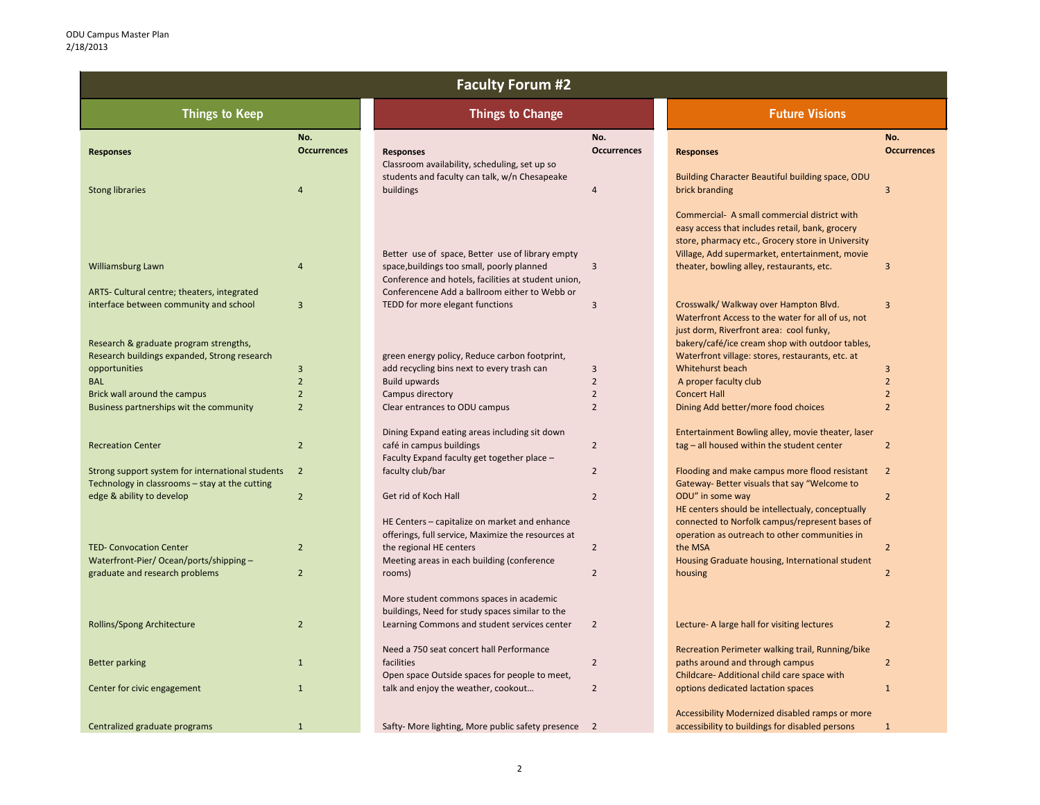| <b>Faculty Forum #2</b>                                                                |                           |                                                                                                                                                    |                           |                                                                                                                                                                                                        |                           |  |
|----------------------------------------------------------------------------------------|---------------------------|----------------------------------------------------------------------------------------------------------------------------------------------------|---------------------------|--------------------------------------------------------------------------------------------------------------------------------------------------------------------------------------------------------|---------------------------|--|
| <b>Things to Keep</b>                                                                  |                           | <b>Things to Change</b>                                                                                                                            |                           | <b>Future Visions</b>                                                                                                                                                                                  |                           |  |
| <b>Responses</b>                                                                       | No.<br><b>Occurrences</b> | <b>Responses</b>                                                                                                                                   | No.<br><b>Occurrences</b> | <b>Responses</b>                                                                                                                                                                                       | No.<br><b>Occurrences</b> |  |
| <b>Stong libraries</b>                                                                 | 4                         | Classroom availability, scheduling, set up so<br>students and faculty can talk, w/n Chesapeake<br>buildings                                        | 4                         | Building Character Beautiful building space, ODU<br>brick branding                                                                                                                                     | 3                         |  |
|                                                                                        |                           | Better use of space, Better use of library empty                                                                                                   |                           | Commercial- A small commercial district with<br>easy access that includes retail, bank, grocery<br>store, pharmacy etc., Grocery store in University<br>Village, Add supermarket, entertainment, movie |                           |  |
| Williamsburg Lawn<br>ARTS- Cultural centre; theaters, integrated                       | 4                         | space, buildings too small, poorly planned<br>Conference and hotels, facilities at student union,<br>Conferencene Add a ballroom either to Webb or | 3                         | theater, bowling alley, restaurants, etc.                                                                                                                                                              | 3                         |  |
| interface between community and school                                                 | 3                         | TEDD for more elegant functions                                                                                                                    | 3                         | Crosswalk/ Walkway over Hampton Blvd.<br>Waterfront Access to the water for all of us, not<br>just dorm, Riverfront area: cool funky,                                                                  | 3                         |  |
| Research & graduate program strengths,<br>Research buildings expanded, Strong research |                           | green energy policy, Reduce carbon footprint,                                                                                                      |                           | bakery/café/ice cream shop with outdoor tables,<br>Waterfront village: stores, restaurants, etc. at                                                                                                    |                           |  |
| opportunities                                                                          | 3                         | add recycling bins next to every trash can                                                                                                         | 3                         | Whitehurst beach                                                                                                                                                                                       | 3                         |  |
| <b>BAL</b>                                                                             | $\overline{2}$            | <b>Build upwards</b>                                                                                                                               | 2                         | A proper faculty club                                                                                                                                                                                  | $\overline{2}$            |  |
| Brick wall around the campus                                                           | 2                         | Campus directory                                                                                                                                   | 2                         | <b>Concert Hall</b>                                                                                                                                                                                    | 2                         |  |
| Business partnerships wit the community                                                | $\overline{2}$            | Clear entrances to ODU campus                                                                                                                      | 2                         | Dining Add better/more food choices                                                                                                                                                                    | $\overline{2}$            |  |
| <b>Recreation Center</b>                                                               | $\overline{2}$            | Dining Expand eating areas including sit down<br>café in campus buildings                                                                          | $\overline{2}$            | Entertainment Bowling alley, movie theater, laser<br>tag - all housed within the student center                                                                                                        | 2                         |  |
| Strong support system for international students                                       |                           | Faculty Expand faculty get together place -<br>faculty club/bar                                                                                    | 2                         | Flooding and make campus more flood resistant                                                                                                                                                          |                           |  |
| Technology in classrooms - stay at the cutting                                         |                           |                                                                                                                                                    |                           | Gateway- Better visuals that say "Welcome to                                                                                                                                                           |                           |  |
| edge & ability to develop                                                              | 2                         | Get rid of Koch Hall<br>HE Centers - capitalize on market and enhance                                                                              | $\overline{2}$            | ODU" in some way<br>HE centers should be intellectualy, conceptually<br>connected to Norfolk campus/represent bases of                                                                                 | $\overline{2}$            |  |
|                                                                                        |                           | offerings, full service, Maximize the resources at                                                                                                 |                           | operation as outreach to other communities in                                                                                                                                                          |                           |  |
| <b>TED- Convocation Center</b>                                                         | $\overline{2}$            | the regional HE centers                                                                                                                            | $\overline{2}$            | the MSA                                                                                                                                                                                                | $\overline{2}$            |  |
| Waterfront-Pier/Ocean/ports/shipping-                                                  |                           | Meeting areas in each building (conference                                                                                                         |                           | Housing Graduate housing, International student                                                                                                                                                        |                           |  |
| graduate and research problems                                                         | 2                         | rooms)                                                                                                                                             | $\overline{2}$            | housing                                                                                                                                                                                                | 2                         |  |
|                                                                                        |                           | More student commons spaces in academic<br>buildings, Need for study spaces similar to the                                                         |                           |                                                                                                                                                                                                        |                           |  |
| <b>Rollins/Spong Architecture</b>                                                      | $\overline{2}$            | Learning Commons and student services center                                                                                                       | $\overline{2}$            | Lecture- A large hall for visiting lectures                                                                                                                                                            | $\overline{2}$            |  |
|                                                                                        |                           | Need a 750 seat concert hall Performance                                                                                                           |                           | Recreation Perimeter walking trail, Running/bike                                                                                                                                                       |                           |  |
| <b>Better parking</b>                                                                  | $\mathbf{1}$              | facilities                                                                                                                                         | $\overline{2}$            | paths around and through campus                                                                                                                                                                        | 2                         |  |
| Center for civic engagement                                                            | $\mathbf{1}$              | Open space Outside spaces for people to meet,<br>talk and enjoy the weather, cookout                                                               | 2                         | Childcare- Additional child care space with<br>options dedicated lactation spaces                                                                                                                      |                           |  |
|                                                                                        |                           |                                                                                                                                                    |                           |                                                                                                                                                                                                        |                           |  |
| Centralized graduate programs                                                          | $\mathbf{1}$              | Safty-More lighting, More public safety presence 2                                                                                                 |                           | Accessibility Modernized disabled ramps or more<br>accessibility to buildings for disabled persons                                                                                                     | $\mathbf{1}$              |  |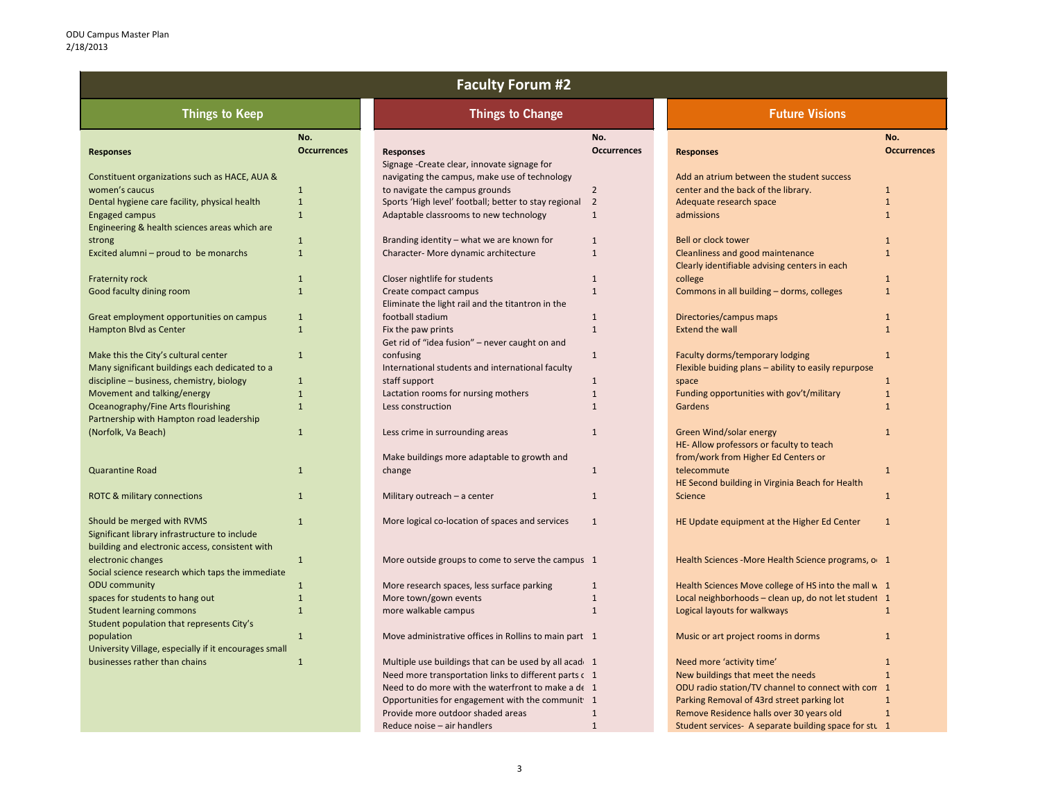|                                                       |                    | <b>Faculty Forum #2</b>                               |                    |                                                       |                    |  |
|-------------------------------------------------------|--------------------|-------------------------------------------------------|--------------------|-------------------------------------------------------|--------------------|--|
| <b>Things to Keep</b>                                 |                    | <b>Things to Change</b>                               |                    | <b>Future Visions</b>                                 |                    |  |
|                                                       | No.                |                                                       | No.                |                                                       | No.                |  |
| <b>Responses</b>                                      | <b>Occurrences</b> | <b>Responses</b>                                      | <b>Occurrences</b> | <b>Responses</b>                                      | <b>Occurrences</b> |  |
|                                                       |                    | Signage - Create clear, innovate signage for          |                    |                                                       |                    |  |
| Constituent organizations such as HACE, AUA &         |                    | navigating the campus, make use of technology         |                    | Add an atrium between the student success             |                    |  |
| women's caucus                                        |                    | to navigate the campus grounds                        | $\overline{2}$     | center and the back of the library.                   |                    |  |
| Dental hygiene care facility, physical health         |                    | Sports 'High level' football; better to stay regional | -2                 | Adequate research space                               |                    |  |
| <b>Engaged campus</b>                                 |                    | Adaptable classrooms to new technology                | -1                 | admissions                                            |                    |  |
| Engineering & health sciences areas which are         |                    |                                                       |                    |                                                       |                    |  |
| strong                                                |                    | Branding identity - what we are known for             | $\mathbf{1}$       | <b>Bell or clock tower</b>                            |                    |  |
| Excited alumni - proud to be monarchs                 |                    | Character-More dynamic architecture                   | -1                 | Cleanliness and good maintenance                      |                    |  |
|                                                       |                    |                                                       |                    | Clearly identifiable advising centers in each         |                    |  |
| Fraternity rock                                       |                    | Closer nightlife for students                         | 1                  | college                                               |                    |  |
| Good faculty dining room                              |                    | Create compact campus                                 | $\mathbf{1}$       | Commons in all building - dorms, colleges             |                    |  |
|                                                       |                    | Eliminate the light rail and the titantron in the     |                    |                                                       |                    |  |
| Great employment opportunities on campus              | 1                  | football stadium                                      | $\mathbf{1}$       | Directories/campus maps                               |                    |  |
| Hampton Blvd as Center                                |                    | Fix the paw prints                                    | -1                 | <b>Extend the wall</b>                                |                    |  |
|                                                       |                    | Get rid of "idea fusion" - never caught on and        |                    |                                                       |                    |  |
| Make this the City's cultural center                  | $\mathbf 1$        | confusing                                             | $\mathbf{1}$       | Faculty dorms/temporary lodging                       |                    |  |
| Many significant buildings each dedicated to a        |                    | International students and international faculty      |                    | Flexible buiding plans - ability to easily repurpose  |                    |  |
| discipline - business, chemistry, biology             |                    | staff support                                         | -1                 | space                                                 |                    |  |
| Movement and talking/energy                           |                    | Lactation rooms for nursing mothers                   |                    | Funding opportunities with gov't/military             |                    |  |
| Oceanography/Fine Arts flourishing                    |                    | Less construction                                     |                    | Gardens                                               |                    |  |
| Partnership with Hampton road leadership              |                    |                                                       |                    |                                                       |                    |  |
| (Norfolk, Va Beach)                                   | $\mathbf{1}$       | Less crime in surrounding areas                       | $\mathbf{1}$       | <b>Green Wind/solar energy</b>                        |                    |  |
|                                                       |                    |                                                       |                    | HE-Allow professors or faculty to teach               |                    |  |
| <b>Quarantine Road</b>                                |                    | Make buildings more adaptable to growth and           | -1                 | from/work from Higher Ed Centers or<br>telecommute    |                    |  |
|                                                       |                    | change                                                |                    | HE Second building in Virginia Beach for Health       |                    |  |
| <b>ROTC &amp; military connections</b>                | $\mathbf{1}$       | Military outreach - a center                          | $\mathbf{1}$       | Science                                               |                    |  |
|                                                       |                    |                                                       |                    |                                                       |                    |  |
| Should be merged with RVMS                            |                    | More logical co-location of spaces and services       | 1                  | HE Update equipment at the Higher Ed Center           |                    |  |
| Significant library infrastructure to include         |                    |                                                       |                    |                                                       |                    |  |
| building and electronic access, consistent with       |                    |                                                       |                    |                                                       |                    |  |
| electronic changes                                    | $\mathbf{1}$       | More outside groups to come to serve the campus 1     |                    | Health Sciences - More Health Science programs, o 1   |                    |  |
| Social science research which taps the immediate      |                    |                                                       |                    |                                                       |                    |  |
| <b>ODU</b> community                                  |                    | More research spaces, less surface parking            | 1                  | Health Sciences Move college of HS into the mall w 1  |                    |  |
| spaces for students to hang out                       |                    | More town/gown events                                 | $\mathbf{1}$       | Local neighborhoods - clean up, do not let student 1  |                    |  |
| <b>Student learning commons</b>                       |                    | more walkable campus                                  | $\mathbf{1}$       | Logical layouts for walkways                          |                    |  |
| Student population that represents City's             |                    |                                                       |                    |                                                       |                    |  |
| population                                            |                    | Move administrative offices in Rollins to main part 1 |                    | Music or art project rooms in dorms                   |                    |  |
| University Village, especially if it encourages small |                    |                                                       |                    |                                                       |                    |  |
| businesses rather than chains                         | $\mathbf{1}$       | Multiple use buildings that can be used by all acad 1 |                    | Need more 'activity time'                             |                    |  |
|                                                       |                    | Need more transportation links to different parts c 1 |                    | New buildings that meet the needs                     |                    |  |
|                                                       |                    | Need to do more with the waterfront to make a de 1    |                    | ODU radio station/TV channel to connect with con 1    |                    |  |
|                                                       |                    | Opportunities for engagement with the communit 1      |                    | Parking Removal of 43rd street parking lot            |                    |  |
|                                                       |                    | Provide more outdoor shaded areas                     |                    | Remove Residence halls over 30 years old              |                    |  |
|                                                       |                    | Reduce noise - air handlers                           |                    | Student services- A separate building space for stu 1 |                    |  |